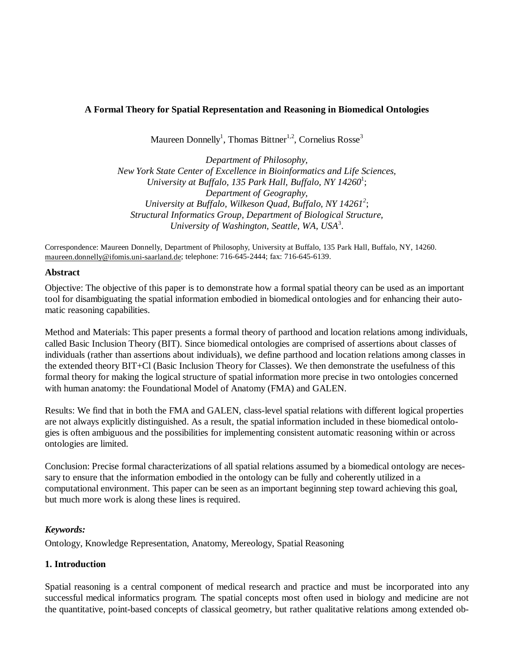#### **A Formal Theory for Spatial Representation and Reasoning in Biomedical Ontologies**

Maureen Donnelly<sup>1</sup>, Thomas Bittner<sup>1,2</sup>, Cornelius Rosse<sup>3</sup>

*Department of Philosophy, New York State Center of Excellence in Bioinformatics and Life Sciences,* University at Buffalo, 135 Park Hall, Buffalo, NY 14260<sup>1</sup>; *Department of Geography, University at Buffalo, Wilkeson Quad, Buffalo, NY 14261 2* ; *Structural Informatics Group, Department of Biological Structure, University of Washington, Seattle, WA, USA* 3 .

Correspondence: Maureen Donnelly, Department of Philosophy, University at Buffalo, 135 Park Hall, Buffalo, NY, 14260. maureen.donnelly@ifomis.uni-saarland.de; telephone: 716-645-2444; fax: 716-645-6139.

#### **Abstract**

Objective: The objective of this paper is to demonstrate how a formal spatial theory can be used as an important tool for disambiguating the spatial information embodied in biomedical ontologies and for enhancing their automatic reasoning capabilities.

Method and Materials: This paper presents a formal theory of parthood and location relations among individuals, called Basic Inclusion Theory (BIT). Since biomedical ontologies are comprised of assertions about classes of individuals (rather than assertions about individuals), we define parthood and location relations among classes in the extended theory BIT+Cl (Basic Inclusion Theory for Classes). We then demonstrate the usefulness of this formal theory for making the logical structure of spatial information more precise in two ontologies concerned with human anatomy: the Foundational Model of Anatomy (FMA) and GALEN.

Results: We find that in both the FMA and GALEN, class-level spatial relations with different logical properties are not always explicitly distinguished. As a result, the spatial information included in these biomedical ontologies is often ambiguous and the possibilities for implementing consistent automatic reasoning within or across ontologies are limited.

Conclusion: Precise formal characterizations of all spatial relations assumed by a biomedical ontology are necessary to ensure that the information embodied in the ontology can be fully and coherently utilized in a computational environment. This paper can be seen as an important beginning step toward achieving this goal, but much more work is along these lines is required.

#### *Keywords:*

Ontology, Knowledge Representation, Anatomy, Mereology, Spatial Reasoning

#### **1. Introduction**

Spatial reasoning is a central component of medical research and practice and must be incorporated into any successful medical informatics program. The spatial concepts most often used in biology and medicine are not the quantitative, point-based concepts of classical geometry, but rather qualitative relations among extended ob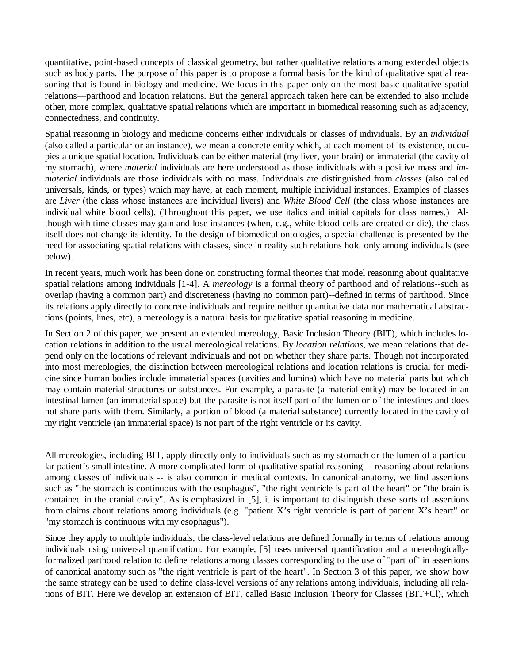quantitative, point-based concepts of classical geometry, but rather qualitative relations among extended objects such as body parts. The purpose of this paper is to propose a formal basis for the kind of qualitative spatial reasoning that is found in biology and medicine. We focus in this paper only on the most basic qualitative spatial relations—parthood and location relations. But the general approach taken here can be extended to also include other, more complex, qualitative spatial relations which are important in biomedical reasoning such as adjacency, connectedness, and continuity.

Spatial reasoning in biology and medicine concerns either individuals or classes of individuals. By an *individual* (also called a particular or an instance), we mean a concrete entity which, at each moment of its existence, occupies a unique spatial location. Individuals can be either material (my liver, your brain) or immaterial (the cavity of my stomach), where *material* individuals are here understood as those individuals with a positive mass and *immaterial* individuals are those individuals with no mass. Individuals are distinguished from *classes* (also called universals, kinds, or types) which may have, at each moment, multiple individual instances. Examples of classes are *Liver* (the class whose instances are individual livers) and *White Blood Cell* (the class whose instances are individual white blood cells). (Throughout this paper, we use italics and initial capitals for class names.) Although with time classes may gain and lose instances (when, e.g., white blood cells are created or die), the class itself does not change its identity. In the design of biomedical ontologies, a special challenge is presented by the need for associating spatial relations with classes, since in reality such relations hold only among individuals (see below).

In recent years, much work has been done on constructing formal theories that model reasoning about qualitative spatial relations among individuals [1-4]. A *mereology* is a formal theory of parthood and of relations--such as overlap (having a common part) and discreteness (having no common part)--defined in terms of parthood. Since its relations apply directly to concrete individuals and require neither quantitative data nor mathematical abstractions (points, lines, etc), a mereology is a natural basis for qualitative spatial reasoning in medicine.

In Section 2 of this paper, we present an extended mereology, Basic Inclusion Theory (BIT), which includes location relations in addition to the usual mereological relations. By *location relations*, we mean relations that depend only on the locations of relevant individuals and not on whether they share parts. Though not incorporated into most mereologies, the distinction between mereological relations and location relations is crucial for medicine since human bodies include immaterial spaces (cavities and lumina) which have no material parts but which may contain material structures or substances. For example, a parasite (a material entity) may be located in an intestinal lumen (an immaterial space) but the parasite is not itself part of the lumen or of the intestines and does not share parts with them. Similarly, a portion of blood (a material substance) currently located in the cavity of my right ventricle (an immaterial space) is not part of the right ventricle or its cavity.

All mereologies, including BIT, apply directly only to individuals such as my stomach or the lumen of a particular patient's small intestine. A more complicated form of qualitative spatial reasoning -- reasoning about relations among classes of individuals -- is also common in medical contexts. In canonical anatomy, we find assertions such as "the stomach is continuous with the esophagus", "the right ventricle is part of the heart" or "the brain is contained in the cranial cavity". As is emphasized in [5], it is important to distinguish these sorts of assertions from claims about relations among individuals (e.g. "patient X's right ventricle is part of patient X's heart" or "my stomach is continuous with my esophagus").

Since they apply to multiple individuals, the class-level relations are defined formally in terms of relations among individuals using universal quantification. For example, [5] uses universal quantification and a mereologicallyformalized parthood relation to define relations among classes corresponding to the use of "part of" in assertions of canonical anatomy such as "the right ventricle is part of the heart". In Section 3 of this paper, we show how the same strategy can be used to define class-level versions of any relations among individuals, including all relations of BIT. Here we develop an extension of BIT, called Basic Inclusion Theory for Classes (BIT+Cl), which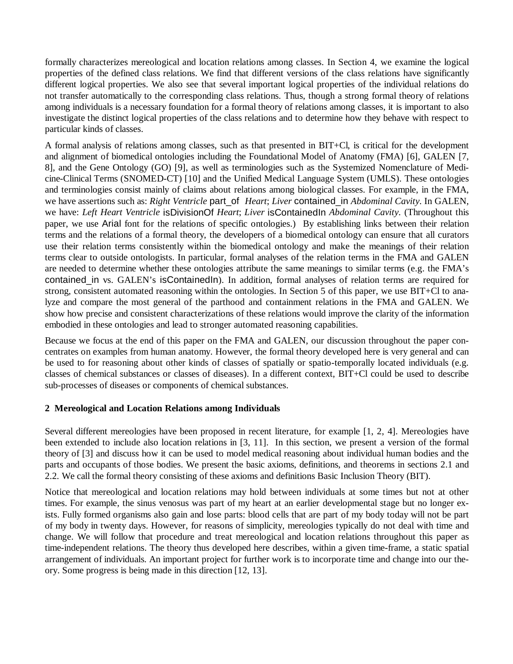formally characterizes mereological and location relations among classes. In Section 4, we examine the logical properties of the defined class relations. We find that different versions of the class relations have significantly different logical properties. We also see that several important logical properties of the individual relations do not transfer automatically to the corresponding class relations. Thus, though a strong formal theory of relations among individuals is a necessary foundation for a formal theory of relations among classes, it is important to also investigate the distinct logical properties of the class relations and to determine how they behave with respect to particular kinds of classes.

A formal analysis of relations among classes, such as that presented in BIT+Cl, is critical for the development and alignment of biomedical ontologies including the Foundational Model of Anatomy (FMA) [6], GALEN [7, 8], and the Gene Ontology (GO) [9], as well as terminologies such as the Systemized Nomenclature of Medicine-Clinical Terms (SNOMED-CT) [10] and the Unified Medical Language System (UMLS). These ontologies and terminologies consist mainly of claims about relations among biological classes. For example, in the FMA, we have assertions such as: *Right Ventricle* part\_of *Heart*; *Liver* contained\_in *Abdominal Cavity*. In GALEN, we have: *Left Heart Ventricle* isDivisionOf *Heart*; *Liver* isContainedIn *Abdominal Cavity*. (Throughout this paper, we use Arial font for the relations of specific ontologies.) By establishing links between their relation terms and the relations of a formal theory, the developers of a biomedical ontology can ensure that all curators use their relation terms consistently within the biomedical ontology and make the meanings of their relation terms clear to outside ontologists. In particular, formal analyses of the relation terms in the FMA and GALEN are needed to determine whether these ontologies attribute the same meanings to similar terms (e.g. the FMA's contained in vs. GALEN's isContainedIn). In addition, formal analyses of relation terms are required for strong, consistent automated reasoning within the ontologies. In Section 5 of this paper, we use BIT+Cl to analyze and compare the most general of the parthood and containment relations in the FMA and GALEN. We show how precise and consistent characterizations of these relations would improve the clarity of the information embodied in these ontologies and lead to stronger automated reasoning capabilities.

Because we focus at the end of this paper on the FMA and GALEN, our discussion throughout the paper concentrates on examples from human anatomy. However, the formal theory developed here is very general and can be used to for reasoning about other kinds of classes of spatially or spatio-temporally located individuals (e.g. classes of chemical substances or classes of diseases). In a different context, BIT+Cl could be used to describe sub-processes of diseases or components of chemical substances.

#### **2 Mereological and Location Relations among Individuals**

Several different mereologies have been proposed in recent literature, for example [1, 2, 4]. Mereologies have been extended to include also location relations in [3, 11]. In this section, we present a version of the formal theory of [3] and discuss how it can be used to model medical reasoning about individual human bodies and the parts and occupants of those bodies. We present the basic axioms, definitions, and theorems in sections 2.1 and 2.2. We call the formal theory consisting of these axioms and definitions Basic Inclusion Theory (BIT).

Notice that mereological and location relations may hold between individuals at some times but not at other times. For example, the sinus venosus was part of my heart at an earlier developmental stage but no longer exists. Fully formed organisms also gain and lose parts: blood cells that are part of my body today will not be part of my body in twenty days. However, for reasons of simplicity, mereologies typically do not deal with time and change. We will follow that procedure and treat mereological and location relations throughout this paper as time-independent relations. The theory thus developed here describes, within a given time-frame, a static spatial arrangement of individuals. An important project for further work is to incorporate time and change into our theory. Some progress is being made in this direction [12, 13].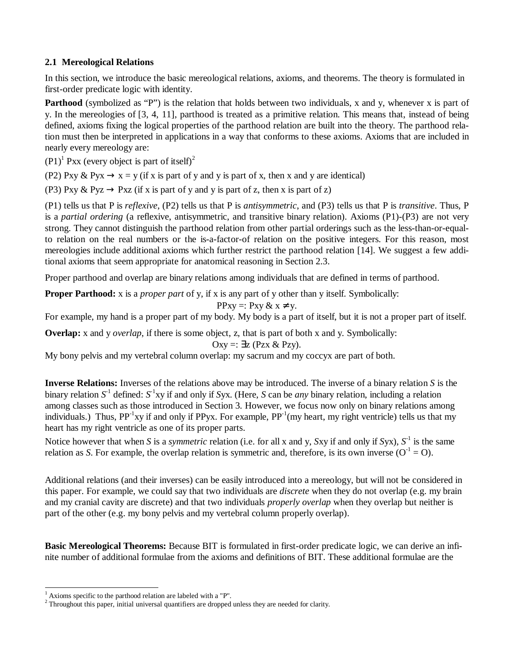### **2.1 Mereological Relations**

In this section, we introduce the basic mereological relations, axioms, and theorems. The theory is formulated in first-order predicate logic with identity.

**Parthood** (symbolized as "P") is the relation that holds between two individuals, x and y, whenever x is part of y. In the mereologies of [3, 4, 11], parthood is treated as a primitive relation. This means that, instead of being defined, axioms fixing the logical properties of the parthood relation are built into the theory. The parthood relation must then be interpreted in applications in a way that conforms to these axioms. Axioms that are included in nearly every mereology are:

 $(P1)^{1}$  Pxx (every object is part of itself)<sup>2</sup>

(P2) Pxy & Pyx  $\rightarrow$  x = y (if x is part of y and y is part of x, then x and y are identical)

(P3) Pxy & Pyz  $\rightarrow$  Pxz (if x is part of y and y is part of z, then x is part of z)

(P1) tells us that P is *reflexive*, (P2) tells us that P is *antisymmetric*, and (P3) tells us that P is *transitive*. Thus, P is a *partial ordering* (a reflexive, antisymmetric, and transitive binary relation). Axioms (P1)-(P3) are not very strong. They cannot distinguish the parthood relation from other partial orderings such as the less-than-or-equalto relation on the real numbers or the is-a-factor-of relation on the positive integers. For this reason, most mereologies include additional axioms which further restrict the parthood relation [14]. We suggest a few additional axioms that seem appropriate for anatomical reasoning in Section 2.3.

Proper parthood and overlap are binary relations among individuals that are defined in terms of parthood.

**Proper Parthood:** x is a *proper part* of y, if x is any part of y other than y itself. Symbolically:

$$
PPxy =: Pxy \& x \neq y.
$$

For example, my hand is a proper part of my body. My body is a part of itself, but it is not a proper part of itself.

**Overlap:** x and y *overlap*, if there is some object, z, that is part of both x and y. Symbolically:

$$
Oxy =: \exists z (Pzx & Pzy).
$$

My bony pelvis and my vertebral column overlap: my sacrum and my coccyx are part of both.

**Inverse Relations:** Inverses of the relations above may be introduced. The inverse of a binary relation *S* is the binary relation  $S<sup>-1</sup>$  defined:  $S<sup>-1</sup>$ xy if and only if *Syx*. (Here, *S* can be *any* binary relation, including a relation among classes such as those introduced in Section 3. However, we focus now only on binary relations among individuals.) Thus,  $PP^{-1}xy$  if and only if PPyx. For example,  $PP^{-1}$ (my heart, my right ventricle) tells us that my heart has my right ventricle as one of its proper parts.

Notice however that when *S* is a *symmetric* relation (i.e. for all x and y, *S*xy if and only if *Syx*),  $S<sup>-1</sup>$  is the same relation as *S*. For example, the overlap relation is symmetric and, therefore, is its own inverse  $(O<sup>-1</sup> = O)$ .

Additional relations (and their inverses) can be easily introduced into a mereology, but will not be considered in this paper. For example, we could say that two individuals are *discrete* when they do not overlap (e.g. my brain and my cranial cavity are discrete) and that two individuals *properly overlap* when they overlap but neither is part of the other (e.g. my bony pelvis and my vertebral column properly overlap).

**Basic Mereological Theorems:** Because BIT is formulated in first-order predicate logic, we can derive an infinite number of additional formulae from the axioms and definitions of BIT. These additional formulae are the

 $\overline{a}$  $<sup>1</sup>$  Axioms specific to the parthood relation are labeled with a "P".</sup>

 $2$  Throughout this paper, initial universal quantifiers are dropped unless they are needed for clarity.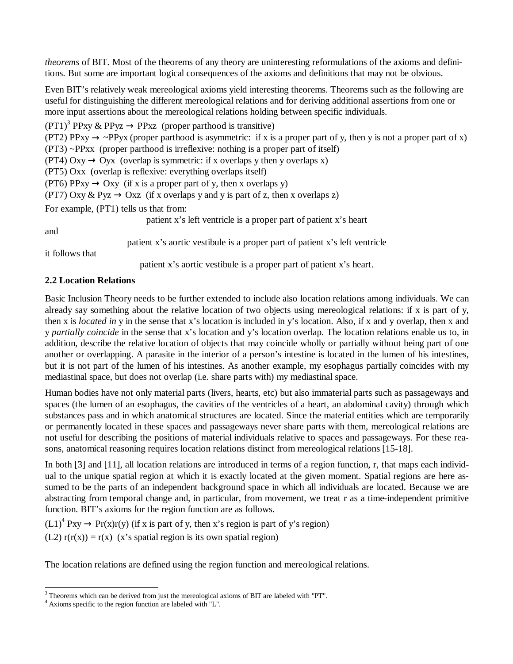*theorems* of BIT. Most of the theorems of any theory are uninteresting reformulations of the axioms and definitions. But some are important logical consequences of the axioms and definitions that may not be obvious.

Even BIT's relatively weak mereological axioms yield interesting theorems. Theorems such as the following are useful for distinguishing the different mereological relations and for deriving additional assertions from one or more input assertions about the mereological relations holding between specific individuals.

 $(PT1)^3$  PPxy & PPyz  $\rightarrow$  PPxz (proper parthood is transitive) (PT2) PPxy  $\rightarrow \sim$ PPyx (proper parthood is asymmetric: if x is a proper part of y, then y is not a proper part of x) (PT3) ~PPxx (proper parthood is irreflexive: nothing is a proper part of itself) (PT4)  $Oxy \rightarrow Oyx$  (overlap is symmetric: if x overlaps y then y overlaps x) (PT5) Oxx (overlap is reflexive: everything overlaps itself) (PT6) PPxy  $\rightarrow$  Oxy (if x is a proper part of y, then x overlaps y) (PT7) Oxy & Pyz  $\rightarrow$  Oxz (if x overlaps y and y is part of z, then x overlaps z) For example, (PT1) tells us that from: patient x's left ventricle is a proper part of patient x's heart and patient x's aortic vestibule is a proper part of patient x's left ventricle

it follows that

patient x's aortic vestibule is a proper part of patient x's heart.

### **2.2 Location Relations**

Basic Inclusion Theory needs to be further extended to include also location relations among individuals. We can already say something about the relative location of two objects using mereological relations: if x is part of y, then x is *located in* y in the sense that x's location is included in y's location. Also, if x and y overlap, then x and y *partially coincide* in the sense that x's location and y's location overlap. The location relations enable us to, in addition, describe the relative location of objects that may coincide wholly or partially without being part of one another or overlapping. A parasite in the interior of a person's intestine is located in the lumen of his intestines, but it is not part of the lumen of his intestines. As another example, my esophagus partially coincides with my mediastinal space, but does not overlap (i.e. share parts with) my mediastinal space.

Human bodies have not only material parts (livers, hearts, etc) but also immaterial parts such as passageways and spaces (the lumen of an esophagus, the cavities of the ventricles of a heart, an abdominal cavity) through which substances pass and in which anatomical structures are located. Since the material entities which are temporarily or permanently located in these spaces and passageways never share parts with them, mereological relations are not useful for describing the positions of material individuals relative to spaces and passageways. For these reasons, anatomical reasoning requires location relations distinct from mereological relations [15-18].

In both [3] and [11], all location relations are introduced in terms of a region function, r, that maps each individual to the unique spatial region at which it is exactly located at the given moment. Spatial regions are here assumed to be the parts of an independent background space in which all individuals are located. Because we are abstracting from temporal change and, in particular, from movement, we treat r as a time-independent primitive function. BIT's axioms for the region function are as follows.

 $(L1)<sup>4</sup> Pxy \rightarrow Pr(x)r(y)$  (if x is part of y, then x's region is part of y's region) (L2)  $r(r(x)) = r(x)$  (x's spatial region is its own spatial region)

The location relations are defined using the region function and mereological relations.

<sup>&</sup>lt;sup>3</sup> Theorems which can be derived from just the mereological axioms of BIT are labeled with "PT".

<sup>4</sup> Axioms specific to the region function are labeled with "L".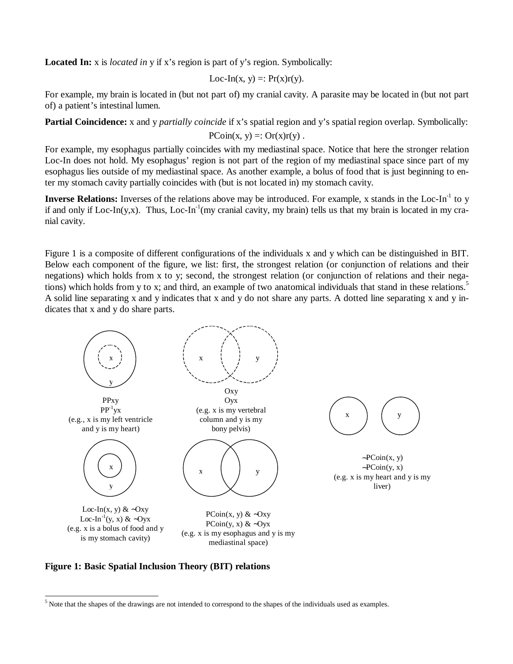**Located In:** x is *located in* y if x's region is part of y's region. Symbolically:

$$
Loc-In(x, y) =: Pr(x)r(y).
$$

For example, my brain is located in (but not part of) my cranial cavity. A parasite may be located in (but not part of) a patient's intestinal lumen.

**Partial Coincidence:** x and y *partially coincide* if x's spatial region and y's spatial region overlap. Symbolically:  $PCoin(x, y) =: Or(x)r(y)$ .

For example, my esophagus partially coincides with my mediastinal space. Notice that here the stronger relation Loc-In does not hold. My esophagus' region is not part of the region of my mediastinal space since part of my esophagus lies outside of my mediastinal space. As another example, a bolus of food that is just beginning to enter my stomach cavity partially coincides with (but is not located in) my stomach cavity.

**Inverse Relations:** Inverses of the relations above may be introduced. For example, x stands in the Loc-In<sup>-1</sup> to y if and only if  $Loc-In(y, x)$ . Thus,  $Loc-In^{-1}(my \text{ cranial cavity}, my \text{brain})$  tells us that my brain is located in my cranial cavity.

Figure 1 is a composite of different configurations of the individuals x and y which can be distinguished in BIT. Below each component of the figure, we list: first, the strongest relation (or conjunction of relations and their negations) which holds from x to y; second, the strongest relation (or conjunction of relations and their negations) which holds from y to x; and third, an example of two anatomical individuals that stand in these relations. 5 A solid line separating x and y indicates that x and y do not share any parts. A dotted line separating x and y indicates that x and y do share parts.



#### **Figure 1: Basic Spatial Inclusion Theory (BIT) relations**

l

 $<sup>5</sup>$  Note that the shapes of the drawings are not intended to correspond to the shapes of the individuals used as examples.</sup>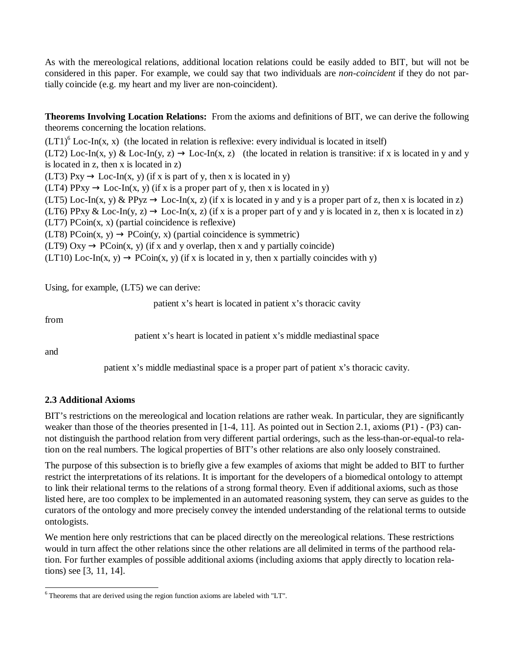As with the mereological relations, additional location relations could be easily added to BIT, but will not be considered in this paper. For example, we could say that two individuals are *non-coincident* if they do not partially coincide (e.g. my heart and my liver are non-coincident).

**Theorems Involving Location Relations:** From the axioms and definitions of BIT, we can derive the following theorems concerning the location relations.

 $(LT1)^6$  Loc-In(x, x) (the located in relation is reflexive: every individual is located in itself)

(LT2) Loc-In(x, y) & Loc-In(y, z)  $\rightarrow$  Loc-In(x, z) (the located in relation is transitive: if x is located in y and y is located in z, then x is located in z)

(LT3) Pxy  $\rightarrow$  Loc-In(x, y) (if x is part of y, then x is located in y)

(LT4) PPxy  $\rightarrow$  Loc-In(x, y) (if x is a proper part of y, then x is located in y)

(LT5) Loc-In(x, y) & PPyz  $\rightarrow$  Loc-In(x, z) (if x is located in y and y is a proper part of z, then x is located in z)

(LT6) PPxy & Loc-In(y, z)  $\rightarrow$  Loc-In(x, z) (if x is a proper part of y and y is located in z, then x is located in z)

(LT7) PCoin(x, x) (partial coincidence is reflexive)

(LT8)  $PCoin(x, y) \rightarrow PCoin(y, x)$  (partial coincidence is symmetric)

(LT9) Oxy  $\rightarrow$  PCoin(x, y) (if x and y overlap, then x and y partially coincide)

(LT10) Loc-In(x, y)  $\rightarrow$  PCoin(x, y) (if x is located in y, then x partially coincides with y)

Using, for example, (LT5) we can derive:

patient x's heart is located in patient x's thoracic cavity

from

patient x's heart is located in patient x's middle mediastinal space

and

 $\overline{a}$ 

patient x's middle mediastinal space is a proper part of patient x's thoracic cavity.

#### **2.3 Additional Axioms**

BIT's restrictions on the mereological and location relations are rather weak. In particular, they are significantly weaker than those of the theories presented in [1-4, 11]. As pointed out in Section 2.1, axioms (P1) - (P3) cannot distinguish the parthood relation from very different partial orderings, such as the less-than-or-equal-to relation on the real numbers. The logical properties of BIT's other relations are also only loosely constrained.

The purpose of this subsection is to briefly give a few examples of axioms that might be added to BIT to further restrict the interpretations of its relations. It is important for the developers of a biomedical ontology to attempt to link their relational terms to the relations of a strong formal theory. Even if additional axioms, such as those listed here, are too complex to be implemented in an automated reasoning system, they can serve as guides to the curators of the ontology and more precisely convey the intended understanding of the relational terms to outside ontologists.

We mention here only restrictions that can be placed directly on the mereological relations. These restrictions would in turn affect the other relations since the other relations are all delimited in terms of the parthood relation. For further examples of possible additional axioms (including axioms that apply directly to location relations) see [3, 11, 14].

 $6$  Theorems that are derived using the region function axioms are labeled with "LT".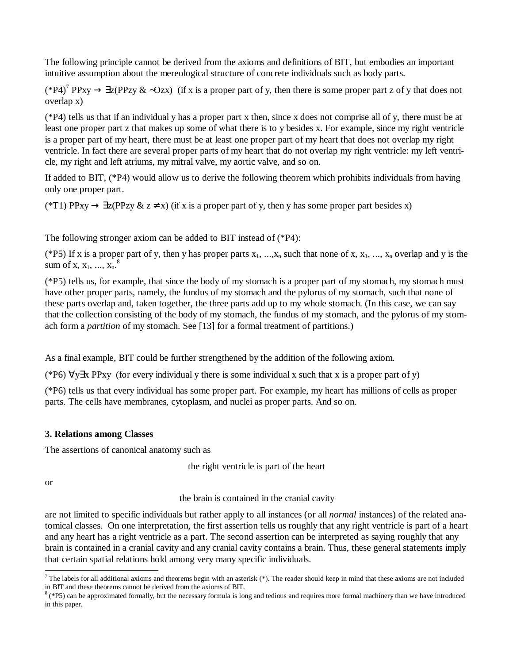The following principle cannot be derived from the axioms and definitions of BIT, but embodies an important intuitive assumption about the mereological structure of concrete individuals such as body parts.

(\*P4)<sup>7</sup> PPxy →  $\exists z$ (PPzy & ~Ozx) (if x is a proper part of y, then there is some proper part z of y that does not overlap x)

(\*P4) tells us that if an individual y has a proper part x then, since x does not comprise all of y, there must be at least one proper part z that makes up some of what there is to y besides x. For example, since my right ventricle is a proper part of my heart, there must be at least one proper part of my heart that does not overlap my right ventricle. In fact there are several proper parts of my heart that do not overlap my right ventricle: my left ventricle, my right and left atriums, my mitral valve, my aortic valve, and so on.

If added to BIT, (\*P4) would allow us to derive the following theorem which prohibits individuals from having only one proper part.

(\*T1) PPxy  $\rightarrow \exists z$ (PPzy & z  $\neq x$ ) (if x is a proper part of y, then y has some proper part besides x)

The following stronger axiom can be added to BIT instead of (\*P4):

(\*P5) If x is a proper part of y, then y has proper parts  $x_1, ..., x_n$  such that none of x,  $x_1, ..., x_n$  overlap and y is the sum of x,  $x_1, ..., x_n$ .<sup>8</sup>

(\*P5) tells us, for example, that since the body of my stomach is a proper part of my stomach, my stomach must have other proper parts, namely, the fundus of my stomach and the pylorus of my stomach, such that none of these parts overlap and, taken together, the three parts add up to my whole stomach. (In this case, we can say that the collection consisting of the body of my stomach, the fundus of my stomach, and the pylorus of my stomach form a *partition* of my stomach. See [13] for a formal treatment of partitions.)

As a final example, BIT could be further strengthened by the addition of the following axiom.

(\*P6) ∀y∃x PPxy (for every individual y there is some individual x such that x is a proper part of y)

(\*P6) tells us that every individual has some proper part. For example, my heart has millions of cells as proper parts. The cells have membranes, cytoplasm, and nuclei as proper parts. And so on.

#### **3. Relations among Classes**

The assertions of canonical anatomy such as

the right ventricle is part of the heart

or

 $\overline{a}$ 

the brain is contained in the cranial cavity

are not limited to specific individuals but rather apply to all instances (or all *normal* instances) of the related anatomical classes. On one interpretation, the first assertion tells us roughly that any right ventricle is part of a heart and any heart has a right ventricle as a part. The second assertion can be interpreted as saying roughly that any brain is contained in a cranial cavity and any cranial cavity contains a brain. Thus, these general statements imply that certain spatial relations hold among very many specific individuals.

<sup>&</sup>lt;sup>7</sup> The labels for all additional axioms and theorems begin with an asterisk  $(*)$ . The reader should keep in mind that these axioms are not included in BIT and these theorems cannot be derived from the axioms of BIT.

 $8$  (\*P5) can be approximated formally, but the necessary formula is long and tedious and requires more formal machinery than we have introduced in this paper.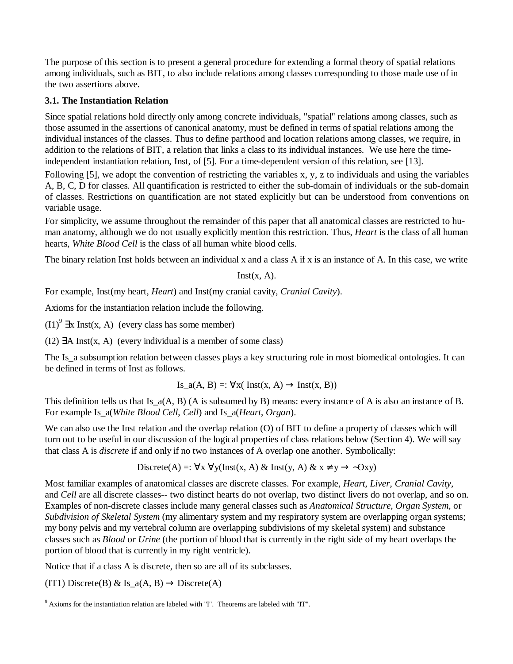The purpose of this section is to present a general procedure for extending a formal theory of spatial relations among individuals, such as BIT, to also include relations among classes corresponding to those made use of in the two assertions above.

### **3.1. The Instantiation Relation**

Since spatial relations hold directly only among concrete individuals, "spatial" relations among classes, such as those assumed in the assertions of canonical anatomy, must be defined in terms of spatial relations among the individual instances of the classes. Thus to define parthood and location relations among classes, we require, in addition to the relations of BIT, a relation that links a class to its individual instances. We use here the timeindependent instantiation relation, Inst, of [5]. For a time-dependent version of this relation, see [13].

Following [5], we adopt the convention of restricting the variables x, y, z to individuals and using the variables A, B, C, D for classes. All quantification is restricted to either the sub-domain of individuals or the sub-domain of classes. Restrictions on quantification are not stated explicitly but can be understood from conventions on variable usage.

For simplicity, we assume throughout the remainder of this paper that all anatomical classes are restricted to human anatomy, although we do not usually explicitly mention this restriction. Thus, *Heart* is the class of all human hearts, *White Blood Cell* is the class of all human white blood cells.

The binary relation Inst holds between an individual x and a class A if x is an instance of A. In this case, we write

```
Inst(x, A).
```
For example, Inst(my heart, *Heart*) and Inst(my cranial cavity, *Cranial Cavity*).

Axioms for the instantiation relation include the following.

 $(11)^9$   $\exists$ x Inst(x, A) (every class has some member)

(I2)  $\exists$ A Inst(x, A) (every individual is a member of some class)

The Is\_a subsumption relation between classes plays a key structuring role in most biomedical ontologies. It can be defined in terms of Inst as follows.

Is  $a(A, B) =: \forall x (Inst(x, A) \rightarrow Inst(x, B))$ 

This definition tells us that Is\_a(A, B) (A is subsumed by B) means: every instance of A is also an instance of B. For example Is\_a(*White Blood Cell*, *Cell*) and Is\_a(*Heart*, *Organ*).

We can also use the Inst relation and the overlap relation (O) of BIT to define a property of classes which will turn out to be useful in our discussion of the logical properties of class relations below (Section 4). We will say that class A is *discrete* if and only if no two instances of A overlap one another. Symbolically:

$$
Discrete(A) =: \forall x \; \forall y (Inst(x, A) \; \& \; Inst(y, A) \; \& \; x \neq y \rightarrow \neg Oxy)
$$

Most familiar examples of anatomical classes are discrete classes. For example, *Heart*, *Liver*, *Cranial Cavity*, and *Cell* are all discrete classes-- two distinct hearts do not overlap, two distinct livers do not overlap, and so on. Examples of non-discrete classes include many general classes such as *Anatomical Structure*, *Organ System*, or *Subdivision of Skeletal System* (my alimentary system and my respiratory system are overlapping organ systems; my bony pelvis and my vertebral column are overlapping subdivisions of my skeletal system) and substance classes such as *Blood* or *Urine* (the portion of blood that is currently in the right side of my heart overlaps the portion of blood that is currently in my right ventricle).

Notice that if a class A is discrete, then so are all of its subclasses.

(IT1) Discrete(B) & Is\_a(A, B)  $\rightarrow$  Discrete(A)

l

 $9$  Axioms for the instantiation relation are labeled with "I". Theorems are labeled with "IT".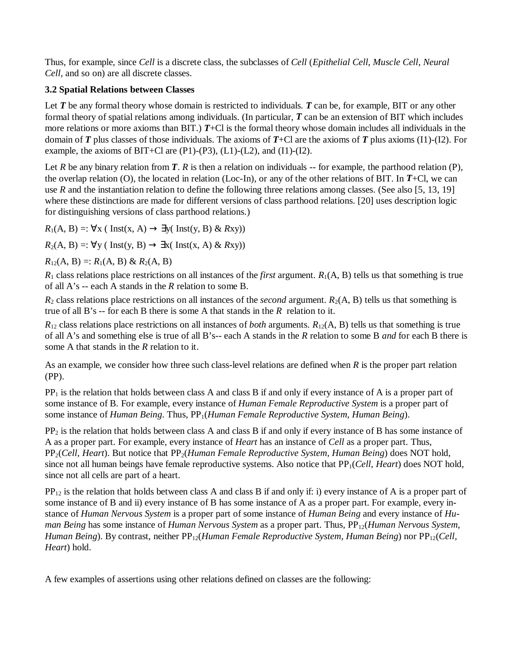Thus, for example, since *Cell* is a discrete class, the subclasses of *Cell* (*Epithelial Cell*, *Muscle Cell*, *Neural Cell*, and so on) are all discrete classes.

## **3.2 Spatial Relations between Classes**

Let *T* be any formal theory whose domain is restricted to individuals. *T* can be, for example, BIT or any other formal theory of spatial relations among individuals. (In particular, *T* can be an extension of BIT which includes more relations or more axioms than BIT.) *T*+Cl is the formal theory whose domain includes all individuals in the domain of *T* plus classes of those individuals. The axioms of *T*+Cl are the axioms of *T* plus axioms (I1)-(I2). For example, the axioms of BIT+Cl are  $(P1)-(P3)$ ,  $(L1)-(L2)$ , and  $(I1)-(I2)$ .

Let *R* be any binary relation from *T*. *R* is then a relation on individuals  $-$  for example, the parthood relation (P), the overlap relation (O), the located in relation (Loc-In), or any of the other relations of BIT. In  $T+Cl$ , we can use *R* and the instantiation relation to define the following three relations among classes. (See also [5, 13, 19] where these distinctions are made for different versions of class parthood relations. [20] uses description logic for distinguishing versions of class parthood relations.)

 $R_1(A, B) =: \forall x \in \text{Inst}(x, A) \rightarrow \exists y \in \text{Inst}(y, B) \& Rxy)$ 

 $R_2(A, B) =: \forall y \in (Inst(y, B) \rightarrow \exists x (\ Inst(x, A) \& Rxy))$ 

 $R_{12}(A, B) =: R_1(A, B) \& R_2(A, B)$ 

 $R_1$  class relations place restrictions on all instances of the *first* argument.  $R_1(A, B)$  tells us that something is true of all A's -- each A stands in the *R* relation to some B.

*R*<sup>2</sup> class relations place restrictions on all instances of the *second* argument. *R*2(A, B) tells us that something is true of all B's -- for each B there is some A that stands in the *R* relation to it.

 $R_{12}$  class relations place restrictions on all instances of *both* arguments.  $R_{12}(A, B)$  tells us that something is true of all A's and something else is true of all B's-- each A stands in the *R* relation to some B *and* for each B there is some A that stands in the *R* relation to it.

As an example, we consider how three such class-level relations are defined when *R* is the proper part relation (PP).

 $PP_1$  is the relation that holds between class A and class B if and only if every instance of A is a proper part of some instance of B. For example, every instance of *Human Female Reproductive System* is a proper part of some instance of *Human Being*. Thus, PP<sub>1</sub>(*Human Female Reproductive System, Human Being*).

PP<sub>2</sub> is the relation that holds between class A and class B if and only if every instance of B has some instance of A as a proper part. For example, every instance of *Heart* has an instance of *Cell* as a proper part. Thus, PP<sub>2</sub>(*Cell*, *Heart*). But notice that PP<sub>2</sub>(*Human Female Reproductive System, Human Being*) does NOT hold, since not all human beings have female reproductive systems. Also notice that PP<sub>1</sub>(*Cell*, *Heart*) does NOT hold, since not all cells are part of a heart.

 $PP_{12}$  is the relation that holds between class A and class B if and only if: i) every instance of A is a proper part of some instance of B and ii) every instance of B has some instance of A as a proper part. For example, every instance of *Human Nervous System* is a proper part of some instance of *Human Being* and every instance of *Human Being* has some instance of *Human Nervous System* as a proper part. Thus, PP<sub>12</sub>(*Human Nervous System*, *Human Being*). By contrast, neither PP<sub>12</sub>(*Human Female Reproductive System, Human Being*) nor PP<sub>12</sub>(*Cell*, *Heart*) hold.

A few examples of assertions using other relations defined on classes are the following: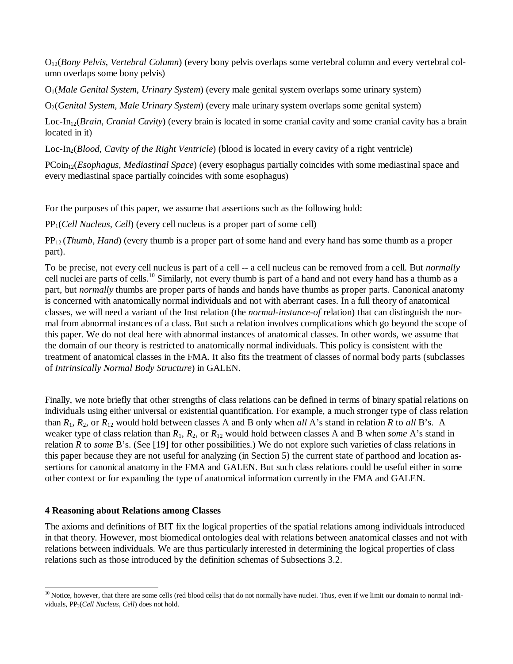O12(*Bony Pelvis*, *Vertebral Column*) (every bony pelvis overlaps some vertebral column and every vertebral column overlaps some bony pelvis)

O1(*Male Genital System*, *Urinary System*) (every male genital system overlaps some urinary system)

O2(*Genital System*, *Male Urinary System*) (every male urinary system overlaps some genital system)

Loc-In<sub>12</sub>(*Brain, Cranial Cavity*) (every brain is located in some cranial cavity and some cranial cavity has a brain located in it)

Loc-In<sub>2</sub>(*Blood, Cavity of the Right Ventricle*) (blood is located in every cavity of a right ventricle)

PCoin<sub>12</sub>(*Esophagus, Mediastinal Space*) (every esophagus partially coincides with some mediastinal space and every mediastinal space partially coincides with some esophagus)

For the purposes of this paper, we assume that assertions such as the following hold:

PP1(*Cell Nucleus*, *Cell*) (every cell nucleus is a proper part of some cell)

PP12 (*Thumb*, *Hand*) (every thumb is a proper part of some hand and every hand has some thumb as a proper part).

To be precise, not every cell nucleus is part of a cell -- a cell nucleus can be removed from a cell. But *normally* cell nuclei are parts of cells.<sup>10</sup> Similarly, not every thumb is part of a hand and not every hand has a thumb as a part, but *normally* thumbs are proper parts of hands and hands have thumbs as proper parts. Canonical anatomy is concerned with anatomically normal individuals and not with aberrant cases. In a full theory of anatomical classes, we will need a variant of the Inst relation (the *normal-instance-of* relation) that can distinguish the normal from abnormal instances of a class. But such a relation involves complications which go beyond the scope of this paper. We do not deal here with abnormal instances of anatomical classes. In other words, we assume that the domain of our theory is restricted to anatomically normal individuals. This policy is consistent with the treatment of anatomical classes in the FMA. It also fits the treatment of classes of normal body parts (subclasses of *Intrinsically Normal Body Structure*) in GALEN.

Finally, we note briefly that other strengths of class relations can be defined in terms of binary spatial relations on individuals using either universal or existential quantification. For example, a much stronger type of class relation than  $R_1$ ,  $R_2$ , or  $R_{12}$  would hold between classes A and B only when *all* A's stand in relation R to *all* B's. A weaker type of class relation than *R*1, *R*2, or *R*<sup>12</sup> would hold between classes A and B when *some* A's stand in relation *R* to *some* B's. (See [19] for other possibilities.) We do not explore such varieties of class relations in this paper because they are not useful for analyzing (in Section 5) the current state of parthood and location assertions for canonical anatomy in the FMA and GALEN. But such class relations could be useful either in some other context or for expanding the type of anatomical information currently in the FMA and GALEN.

#### **4 Reasoning about Relations among Classes**

 $\overline{a}$ 

The axioms and definitions of BIT fix the logical properties of the spatial relations among individuals introduced in that theory. However, most biomedical ontologies deal with relations between anatomical classes and not with relations between individuals. We are thus particularly interested in determining the logical properties of class relations such as those introduced by the definition schemas of Subsections 3.2.

 $10$  Notice, however, that there are some cells (red blood cells) that do not normally have nuclei. Thus, even if we limit our domain to normal individuals, PP2(*Cell Nucleus*, *Cell*) does not hold.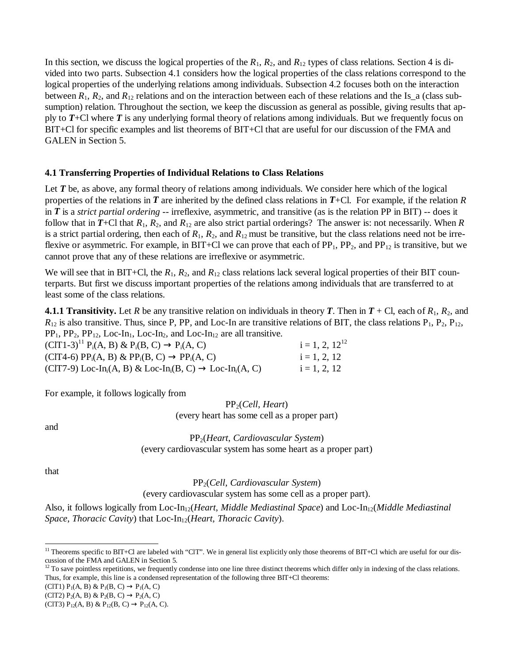In this section, we discuss the logical properties of the  $R_1$ ,  $R_2$ , and  $R_{12}$  types of class relations. Section 4 is divided into two parts. Subsection 4.1 considers how the logical properties of the class relations correspond to the logical properties of the underlying relations among individuals. Subsection 4.2 focuses both on the interaction between  $R_1$ ,  $R_2$ , and  $R_{12}$  relations and on the interaction between each of these relations and the Is\_a (class subsumption) relation. Throughout the section, we keep the discussion as general as possible, giving results that apply to *T*+Cl where *T* is any underlying formal theory of relations among individuals. But we frequently focus on BIT+Cl for specific examples and list theorems of BIT+Cl that are useful for our discussion of the FMA and GALEN in Section 5.

### **4.1 Transferring Properties of Individual Relations to Class Relations**

Let T be, as above, any formal theory of relations among individuals. We consider here which of the logical properties of the relations in *T* are inherited by the defined class relations in *T*+Cl. For example, if the relation *R* in *T* is a *strict partial ordering* -- irreflexive, asymmetric, and transitive (as is the relation PP in BIT) -- does it follow that in  $T+C$ l that  $R_1, R_2$ , and  $R_{12}$  are also strict partial orderings? The answer is: not necessarily. When  $R$ is a strict partial ordering, then each of  $R_1$ ,  $R_2$ , and  $R_{12}$  must be transitive, but the class relations need not be irreflexive or asymmetric. For example, in BIT+Cl we can prove that each of  $PP_1$ ,  $PP_2$ , and  $PP_{12}$  is transitive, but we cannot prove that any of these relations are irreflexive or asymmetric.

We will see that in BIT+Cl, the  $R_1$ ,  $R_2$ , and  $R_{12}$  class relations lack several logical properties of their BIT counterparts. But first we discuss important properties of the relations among individuals that are transferred to at least some of the class relations.

**4.1.1 Transitivity.** Let *R* be any transitive relation on individuals in theory *T*. Then in  $T + \text{Cl}$ , each of  $R_1, R_2$ , and  $R_{12}$  is also transitive. Thus, since P, PP, and Loc-In are transitive relations of BIT, the class relations  $P_1$ ,  $P_2$ ,  $P_{12}$ ,  $PP_1$ ,  $PP_2$ ,  $PP_{12}$ , Loc-In<sub>1</sub>, Loc-In<sub>2</sub>, and Loc-In<sub>12</sub> are all transitive.

| $(CIT1-3)^{11} P_i(A, B) \& P_i(B, C) \rightarrow P_i(A, C)$                                                | $i = 1, 2, 12^{12}$ |
|-------------------------------------------------------------------------------------------------------------|---------------------|
| $(CIT4-6) PP_i(A, B) \& PP_i(B, C) \rightarrow PP_i(A, C)$                                                  | $i = 1, 2, 12$      |
| $(CIT7-9)$ Loc-In <sub>i</sub> (A, B) & Loc-In <sub>i</sub> (B, C) $\rightarrow$ Loc-In <sub>i</sub> (A, C) | $i = 1, 2, 12$      |

For example, it follows logically from

PP2(*Cell*, *Heart*) (every heart has some cell as a proper part)

and

PP2(*Heart*, *Cardiovascular System*) (every cardiovascular system has some heart as a proper part)

that

l

PP2(*Cell*, *Cardiovascular System*)

(every cardiovascular system has some cell as a proper part).

Also, it follows logically from Loc-In<sub>12</sub>(*Heart*, *Middle Mediastinal Space*) and Loc-In<sub>12</sub>(*Middle Mediastinal Space, Thoracic Cavity*) that Loc-In<sub>12</sub>(*Heart, Thoracic Cavity*).

<sup>&</sup>lt;sup>11</sup> Theorems specific to BIT+Cl are labeled with "ClT". We in general list explicitly only those theorems of BIT+Cl which are useful for our discussion of the FMA and GALEN in Section 5.

 $^{12}$  To save pointless repetitions, we frequently condense into one line three distinct theorems which differ only in indexing of the class relations. Thus, for example, this line is a condensed representation of the following three BIT+Cl theorems:

<sup>(</sup>CIT1)  $P_1(A, B) \& P_1(B, C) \rightarrow P_1(A, C)$ 

<sup>(</sup>CIT2)  $P_2(A, B) \& P_2(B, C) \rightarrow P_2(A, C)$ 

<sup>(</sup>CIT3)  $P_{12}(A, B) \& P_{12}(B, C) \rightarrow P_{12}(A, C)$ .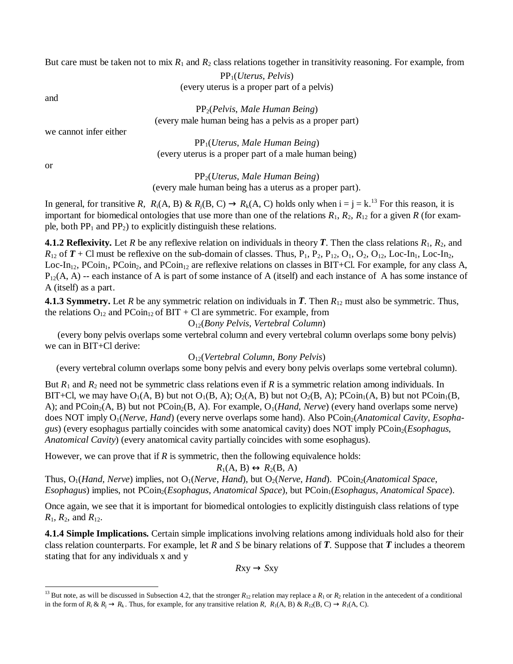But care must be taken not to mix  $R_1$  and  $R_2$  class relations together in transitivity reasoning. For example, from

PP1(*Uterus*, *Pelvis*) (every uterus is a proper part of a pelvis)

and

PP2(*Pelvis*, *Male Human Being*) (every male human being has a pelvis as a proper part)

we cannot infer either

PP1(*Uterus*, *Male Human Being*) (every uterus is a proper part of a male human being)

or

 $\overline{a}$ 

PP2(*Uterus*, *Male Human Being*) (every male human being has a uterus as a proper part).

In general, for transitive *R*,  $R_i(A, B) \& R_j(B, C) \rightarrow R_k(A, C)$  holds only when  $i = j = k$ .<sup>13</sup> For this reason, it is important for biomedical ontologies that use more than one of the relations  $R_1$ ,  $R_2$ ,  $R_{12}$  for a given  $R$  (for example, both  $PP_1$  and  $PP_2$ ) to explicitly distinguish these relations.

**4.1.2 Reflexivity.** Let *R* be any reflexive relation on individuals in theory *T*. Then the class relations *R*1, *R*2, and  $R_{12}$  of  $T$  + Cl must be reflexive on the sub-domain of classes. Thus,  $P_1$ ,  $P_2$ ,  $P_{12}$ ,  $O_1$ ,  $O_2$ ,  $O_{12}$ , Loc-In<sub>1</sub>, Loc-In<sub>2</sub>, Loc-In<sub>12</sub>, PCoin<sub>1</sub>, PCoin<sub>2</sub>, and PCoin<sub>12</sub> are reflexive relations on classes in BIT+Cl. For example, for any class A,  $P_{12}(A, A)$  -- each instance of A is part of some instance of A (itself) and each instance of A has some instance of A (itself) as a part.

**4.1.3 Symmetry.** Let *R* be any symmetric relation on individuals in *T*. Then *R*<sup>12</sup> must also be symmetric. Thus, the relations  $O_{12}$  and  $PCoin_{12}$  of BIT + Cl are symmetric. For example, from

O12(*Bony Pelvis*, *Vertebral Column*)

(every bony pelvis overlaps some vertebral column and every vertebral column overlaps some bony pelvis) we can in BIT+Cl derive:

O12(*Vertebral Column*, *Bony Pelvis*)

(every vertebral column overlaps some bony pelvis and every bony pelvis overlaps some vertebral column).

But  $R_1$  and  $R_2$  need not be symmetric class relations even if  $R$  is a symmetric relation among individuals. In BIT+Cl, we may have  $O_1(A, B)$  but not  $O_1(B, A)$ ;  $O_2(A, B)$  but not  $O_2(B, A)$ ;  $PCoin_1(A, B)$  but not  $PCoin_1(B, A)$ A); and PCoin<sub>2</sub>(A, B) but not PCoin<sub>2</sub>(B, A). For example, O<sub>1</sub>(*Hand, Nerve*) (every hand overlaps some nerve) does NOT imply O<sub>1</sub>(*Nerve*, *Hand*) (every nerve overlaps some hand). Also PCoin<sub>2</sub>(*Anatomical Cavity*, *Esophagus*) (every esophagus partially coincides with some anatomical cavity) does NOT imply PCoin<sub>2</sub>(*Esophagus*, *Anatomical Cavity*) (every anatomical cavity partially coincides with some esophagus).

However, we can prove that if  $R$  is symmetric, then the following equivalence holds:

$$
R_1(A, B) \leftrightarrow R_2(B, A)
$$

Thus, O<sub>1</sub>(*Hand, Nerve*) implies, not O<sub>1</sub>(*Nerve, Hand*), but O<sub>2</sub>(*Nerve, Hand*). PCoin<sub>2</sub>(*Anatomical Space*, *Esophagus*) implies, not PCoin<sub>2</sub>(*Esophagus, Anatomical Space*), but PCoin<sub>1</sub>(*Esophagus, Anatomical Space*).

Once again, we see that it is important for biomedical ontologies to explicitly distinguish class relations of type  $R_1$ ,  $R_2$ , and  $R_{12}$ .

**4.1.4 Simple Implications.** Certain simple implications involving relations among individuals hold also for their class relation counterparts. For example, let *R* and *S* be binary relations of *T*. Suppose that *T* includes a theorem stating that for any individuals x and y

 $Rxy \rightarrow Sxy$ 

<sup>&</sup>lt;sup>13</sup> But note, as will be discussed in Subsection 4.2, that the stronger  $R_{12}$  relation may replace a  $R_1$  or  $R_2$  relation in the antecedent of a conditional in the form of  $R_i \& R_j \rightarrow R_k$ . Thus, for example, for any transitive relation  $R$ ,  $R_1(A, B) \& R_{12}(B, C) \rightarrow R_1(A, C)$ .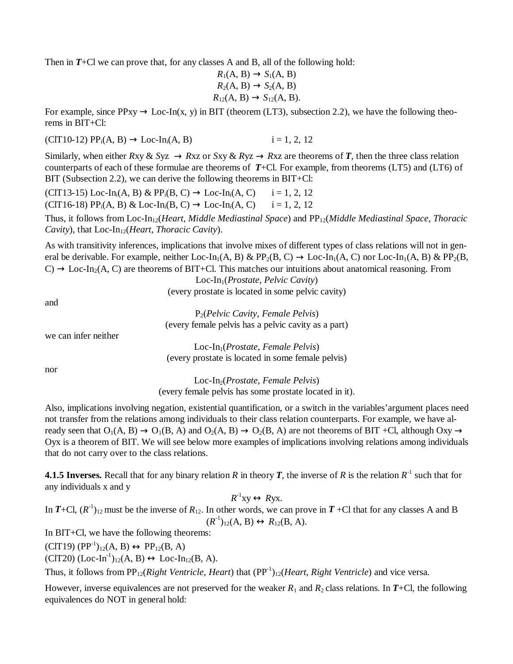Then in  $T+C$  we can prove that, for any classes A and B, all of the following hold:

$$
R_1(A, B) \rightarrow S_1(A, B)
$$
  
\n
$$
R_2(A, B) \rightarrow S_2(A, B)
$$
  
\n
$$
R_{12}(A, B) \rightarrow S_{12}(A, B).
$$

For example, since PPxy  $\rightarrow$  Loc-In(x, y) in BIT (theorem (LT3), subsection 2.2), we have the following theorems in BIT+Cl:

 $(CIT10-12) PP_i(A, B) \rightarrow Loc-In_i(A, B)$   $i = 1, 2, 12$ 

Similarly, when either  $Rxy \& Syz \rightarrow Rxz$  or  $Sxy \& Ryz \rightarrow Rxz$  are theorems of *T*, then the three class relation counterparts of each of these formulae are theorems of *T*+Cl. For example, from theorems (LT5) and (LT6) of BIT (Subsection 2.2), we can derive the following theorems in BIT+Cl:

 $(CIT13-15)$  Loc-In<sub>i</sub>(A, B) & PP<sub>i</sub>(B, C)  $\rightarrow$  Loc-In<sub>i</sub>(A, C) i = 1, 2, 12 (CIT16-18) PP<sub>i</sub>(A, B) & Loc-In<sub>i</sub>(B, C)  $\rightarrow$  Loc-In<sub>i</sub>(A, C) i = 1, 2, 12

Thus, it follows from Loc-In12(*Heart*, *Middle Mediastinal Space*) and PP12(*Middle Mediastinal Space*, *Thoracic Cavity*), that Loc-In<sub>12</sub>(*Heart*, *Thoracic Cavity*).

As with transitivity inferences, implications that involve mixes of different types of class relations will not in general be derivable. For example, neither Loc-In<sub>1</sub>(A, B) & PP<sub>2</sub>(B, C)  $\rightarrow$  Loc-In<sub>1</sub>(A, C) nor Loc-In<sub>1</sub>(A, B) & PP<sub>2</sub>(B,  $C$ )  $\rightarrow$  Loc-In<sub>2</sub>(A, C) are theorems of BIT+Cl. This matches our intuitions about anatomical reasoning. From Loc-In<sub>1</sub>(*Prostate*, *Pelvic Cavity*)

(every prostate is located in some pelvic cavity)

and

P2(*Pelvic Cavity*, *Female Pelvis*) (every female pelvis has a pelvic cavity as a part)

we can infer neither

Loc-In1(*Prostate*, *Female Pelvis*) (every prostate is located in some female pelvis)

nor

Loc-In2(*Prostate*, *Female Pelvis*) (every female pelvis has some prostate located in it).

Also, implications involving negation, existential quantification, or a switch in the variables'argument places need not transfer from the relations among individuals to their class relation counterparts. For example, we have already seen that  $O_1(A, B) \to O_1(B, A)$  and  $O_2(A, B) \to O_2(B, A)$  are not theorems of BIT +Cl, although Oxy  $\to$ Oyx is a theorem of BIT. We will see below more examples of implications involving relations among individuals that do not carry over to the class relations.

**4.1.5 Inverses.** Recall that for any binary relation *R* in theory *T*, the inverse of *R* is the relation  $R^{-1}$  such that for any individuals x and y

 $R^{-1}$ xy  $\leftrightarrow R$ yx.

In  $T$ +Cl,  $(R^{-1})_{12}$  must be the inverse of  $R_{12}$ . In other words, we can prove in  $T$  +Cl that for any classes A and B  $(R^{-1})_{12}(A, B) \leftrightarrow R_{12}(B, A).$ 

In BIT+Cl, we have the following theorems:

 $(CIT19) (PP<sup>-1</sup>)<sub>12</sub>(A, B) \leftrightarrow PP<sub>12</sub>(B, A)$ 

 $(CIT20)$   $(Loc-In<sup>-1</sup>)<sub>12</sub>(A, B) \leftrightarrow Loc-In<sub>12</sub>(B, A).$ 

Thus, it follows from PP<sub>12</sub>(*Right Ventricle*, *Heart*) that (PP<sup>-1</sup>)<sub>12</sub>(*Heart*, *Right Ventricle*) and vice versa.

However, inverse equivalences are not preserved for the weaker  $R_1$  and  $R_2$  class relations. In  $T+Cl$ , the following equivalences do NOT in general hold: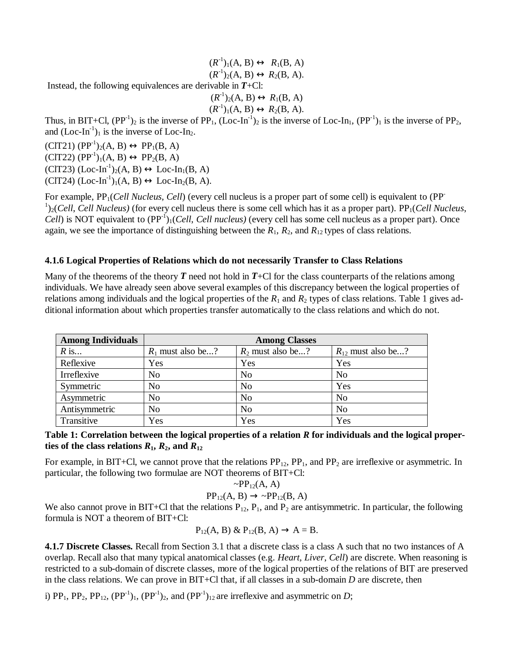$(R^{-1})_1(A, B) \leftrightarrow R_1(B, A)$  $(R^{-1})_2(A, B) \leftrightarrow R_2(B, A).$ 

Instead, the following equivalences are derivable in  $T+C$ l:

 $(R^{-1})_2(A, B) \leftrightarrow R_1(B, A)$  $(R^{-1})_1(A, B) \leftrightarrow R_2(B, A).$ 

Thus, in BIT+Cl,  $(PP^{-1})_2$  is the inverse of PP<sub>1</sub>,  $(Loc-In^{-1})_2$  is the inverse of Loc-In<sub>1</sub>,  $(PP^{-1})_1$  is the inverse of PP<sub>2</sub>, and  $(Loc-In^{-1})_1$  is the inverse of Loc-In<sub>2</sub>.

 $(CIT21) (PP<sup>-1</sup>)<sub>2</sub>(A, B) \leftrightarrow PP<sub>1</sub>(B, A)$  $(CIT22) (PP<sup>-1</sup>)<sub>1</sub>(A, B) \leftrightarrow PP<sub>2</sub>(B, A)$ (CIT23)  $(Loc-In^{-1})_2(A, B) \leftrightarrow Loc-In_1(B, A)$ 

(CIT24)  $(Loc-In^{-1})_1(A, B) \leftrightarrow Loc-In_2(B, A)$ .

For example, PP<sub>1</sub>(Cell Nucleus, Cell) (every cell nucleus is a proper part of some cell) is equivalent to (PP<sup>-</sup>  $1_{2}(Cell, Cell\ Nucleus)$  (for every cell nucleus there is some cell which has it as a proper part). PP<sub>1</sub>(*Cell Nucleus*, Cell) is NOT equivalent to  $(PP<sup>-1</sup>)<sub>1</sub>(Cell, Cell nucleus)$  (every cell has some cell nucleus as a proper part). Once again, we see the importance of distinguishing between the  $R_1$ ,  $R_2$ , and  $R_1$ <sup>2</sup> types of class relations.

#### **4.1.6 Logical Properties of Relations which do not necessarily Transfer to Class Relations**

Many of the theorems of the theory *T* need not hold in *T*+Cl for the class counterparts of the relations among individuals. We have already seen above several examples of this discrepancy between the logical properties of relations among individuals and the logical properties of the  $R_1$  and  $R_2$  types of class relations. Table 1 gives additional information about which properties transfer automatically to the class relations and which do not.

| <b>Among Individuals</b> | <b>Among Classes</b> |                     |                        |  |
|--------------------------|----------------------|---------------------|------------------------|--|
| $R$ is                   | $R_1$ must also be?  | $R_2$ must also be? | $R_{12}$ must also be? |  |
| Reflexive                | Yes                  | Yes                 | Yes                    |  |
| Irreflexive              | N <sub>0</sub>       | N <sub>0</sub>      | N <sub>o</sub>         |  |
| Symmetric                | No                   | N <sub>o</sub>      | Yes                    |  |
| Asymmetric               | No                   | N <sub>o</sub>      | N <sub>o</sub>         |  |
| Antisymmetric            | No                   | N <sub>o</sub>      | N <sub>o</sub>         |  |
| Transitive               | Yes                  | Yes                 | Yes                    |  |

**Table 1: Correlation between the logical properties of a relation** *R* **for individuals and the logical properties of the class relations**  $R_1$ **,**  $R_2$ **, and**  $R_{12}$ 

For example, in BIT+Cl, we cannot prove that the relations  $PP_{12}$ ,  $PP_1$ , and  $PP_2$  are irreflexive or asymmetric. In particular, the following two formulae are NOT theorems of BIT+Cl:

$$
\sim PP_{12}(A, A)
$$
  
PP<sub>12</sub>(A, B)  $\rightarrow$   $\sim PP_{12}(B, A)$ 

We also cannot prove in BIT+Cl that the relations  $P_{12}$ ,  $P_1$ , and  $P_2$  are antisymmetric. In particular, the following formula is NOT a theorem of BIT+Cl:

$$
P_{12}(A, B) \& P_{12}(B, A) \rightarrow A = B.
$$

**4.1.7 Discrete Classes.** Recall from Section 3.1 that a discrete class is a class A such that no two instances of A overlap. Recall also that many typical anatomical classes (e.g. *Heart*, *Liver*, *Cell*) are discrete. When reasoning is restricted to a sub-domain of discrete classes, more of the logical properties of the relations of BIT are preserved in the class relations. We can prove in BIT+Cl that, if all classes in a sub-domain *D* are discrete, then

i) PP<sub>1</sub>, PP<sub>2</sub>, PP<sub>12</sub>, (PP<sup>-1</sup>)<sub>1</sub>, (PP<sup>-1</sup>)<sub>2</sub>, and (PP<sup>-1</sup>)<sub>12</sub> are irreflexive and asymmetric on *D*;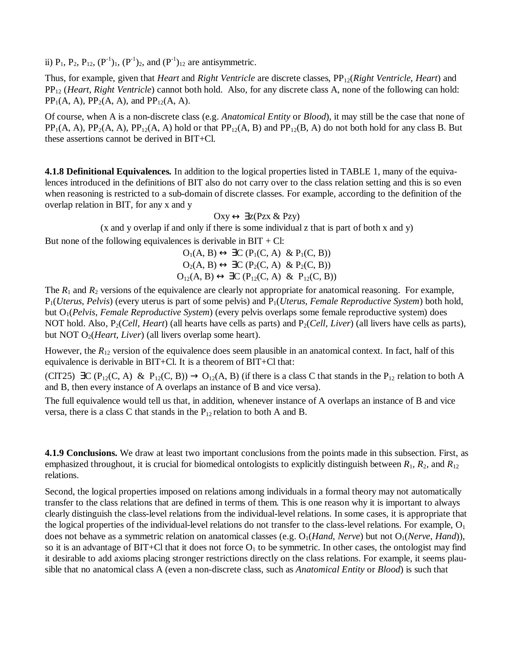ii)  $P_1$ ,  $P_2$ ,  $P_{12}$ ,  $(P<sup>-1</sup>)_1$ ,  $(P<sup>-1</sup>)_2$ , and  $(P<sup>-1</sup>)_{12}$  are antisymmetric.

Thus, for example, given that *Heart* and *Right Ventricle* are discrete classes, PP<sub>12</sub>(*Right Ventricle*, *Heart*) and PP<sup>12</sup> (*Heart*, *Right Ventricle*) cannot both hold. Also, for any discrete class A, none of the following can hold:  $PP_1(A, A), PP_2(A, A),$  and  $PP_{12}(A, A)$ .

Of course, when A is a non-discrete class (e.g. *Anatomical Entity* or *Blood*), it may still be the case that none of  $PP_1(A, A)$ ,  $PP_2(A, A)$ ,  $PP_{12}(A, A)$  hold or that  $PP_{12}(A, B)$  and  $PP_{12}(B, A)$  do not both hold for any class B. But these assertions cannot be derived in BIT+Cl.

**4.1.8 Definitional Equivalences.** In addition to the logical properties listed in TABLE 1, many of the equivalences introduced in the definitions of BIT also do not carry over to the class relation setting and this is so even when reasoning is restricted to a sub-domain of discrete classes. For example, according to the definition of the overlap relation in BIT, for any x and y

#### $Oxy \leftrightarrow \exists z (Pzx \& Pzy)$

(x and y overlap if and only if there is some individual z that is part of both x and y) But none of the following equivalences is derivable in  $BIT + CI$ :

> $O_1(A, B) \leftrightarrow \exists C (P_1(C, A) \& P_1(C, B))$  $O_2(A, B) \leftrightarrow \exists C (P_2(C, A) \& P_2(C, B))$  $O_{12}(A, B) \leftrightarrow \exists C (P_{12}(C, A) \& P_{12}(C, B))$

The  $R_1$  and  $R_2$  versions of the equivalence are clearly not appropriate for anatomical reasoning. For example, P1(*Uterus*, *Pelvis*) (every uterus is part of some pelvis) and P1(*Uterus*, *Female Reproductive System*) both hold, but O1(*Pelvis*, *Female Reproductive System*) (every pelvis overlaps some female reproductive system) does NOT hold. Also,  $P_2(Cell, Heart)$  (all hearts have cells as parts) and  $P_2(Cell, Liver)$  (all livers have cells as parts), but NOT O<sub>2</sub>(*Heart*, *Liver*) (all livers overlap some heart).

However, the  $R_{12}$  version of the equivalence does seem plausible in an anatomical context. In fact, half of this equivalence is derivable in BIT+Cl. It is a theorem of BIT+Cl that:

(CIT25)  $\exists C (P_{12}(C, A) \& P_{12}(C, B)) \rightarrow O_{12}(A, B)$  (if there is a class C that stands in the  $P_{12}$  relation to both A and B, then every instance of A overlaps an instance of B and vice versa).

The full equivalence would tell us that, in addition, whenever instance of A overlaps an instance of B and vice versa, there is a class C that stands in the  $P_{12}$  relation to both A and B.

**4.1.9 Conclusions.** We draw at least two important conclusions from the points made in this subsection. First, as emphasized throughout, it is crucial for biomedical ontologists to explicitly distinguish between  $R_1$ ,  $R_2$ , and  $R_{12}$ relations.

Second, the logical properties imposed on relations among individuals in a formal theory may not automatically transfer to the class relations that are defined in terms of them. This is one reason why it is important to always clearly distinguish the class-level relations from the individual-level relations. In some cases, it is appropriate that the logical properties of the individual-level relations do not transfer to the class-level relations. For example,  $O<sub>1</sub>$ does not behave as a symmetric relation on anatomical classes (e.g.  $O_1(Hand, Nerve)$ ) but not  $O_1(Nerve, Hand)$ ), so it is an advantage of BIT+Cl that it does not force  $O<sub>1</sub>$  to be symmetric. In other cases, the ontologist may find it desirable to add axioms placing stronger restrictions directly on the class relations. For example, it seems plausible that no anatomical class A (even a non-discrete class, such as *Anatomical Entity* or *Blood*) is such that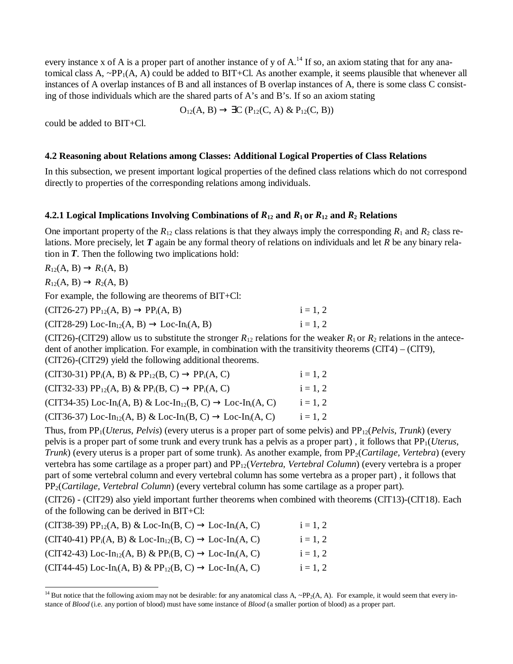every instance x of A is a proper part of another instance of y of A.<sup>14</sup> If so, an axiom stating that for any anatomical class A,  $\sim PP_1(A, A)$  could be added to BIT+Cl. As another example, it seems plausible that whenever all instances of A overlap instances of B and all instances of B overlap instances of A, there is some class C consisting of those individuals which are the shared parts of A's and B's. If so an axiom stating

$$
O_{12}(A, B) \rightarrow \exists C (P_{12}(C, A) \& P_{12}(C, B))
$$

could be added to BIT+Cl.

#### **4.2 Reasoning about Relations among Classes: Additional Logical Properties of Class Relations**

In this subsection, we present important logical properties of the defined class relations which do not correspond directly to properties of the corresponding relations among individuals.

#### **4.2.1 Logical Implications Involving Combinations of** *R***<sup>12</sup> and** *R***<sup>1</sup> or** *R***<sup>12</sup> and** *R***<sup>2</sup> Relations**

One important property of the  $R_{12}$  class relations is that they always imply the corresponding  $R_1$  and  $R_2$  class relations. More precisely, let *T* again be any formal theory of relations on individuals and let *R* be any binary relation in *T*. Then the following two implications hold:

 $R_{12}(A, B) \rightarrow R_1(A, B)$ 

 $R_{12}(A, B) \rightarrow R_2(A, B)$ 

 $\overline{a}$ 

For example, the following are theorems of BIT+Cl:

| $(CIT26-27) PP_{12}(A, B) \rightarrow PP_i(A, B)$                                 | $i = 1, 2$ |
|-----------------------------------------------------------------------------------|------------|
| $(CIT28-29)$ Loc-In <sub>12</sub> (A, B) $\rightarrow$ Loc-In <sub>i</sub> (A, B) | $i = 1, 2$ |

(CIT26)-(CIT29) allow us to substitute the stronger  $R_{12}$  relations for the weaker  $R_1$  or  $R_2$  relations in the antecedent of another implication. For example, in combination with the transitivity theorems  $(CIT4) - (CIT9)$ , (ClT26)-(ClT29) yield the following additional theorems.

| (CIT30-31) $PP_i(A, B) \& PP_{12}(B, C) \rightarrow PP_i(A, C)$                                              | $i = 1, 2$ |
|--------------------------------------------------------------------------------------------------------------|------------|
| $(CIT32-33) PP_{12}(A, B) \& PP_i(B, C) \rightarrow PP_i(A, C)$                                              | $i = 1, 2$ |
| (CIT34-35) Loc-In <sub>i</sub> (A, B) & Loc-In <sub>12</sub> (B, C) $\rightarrow$ Loc-In <sub>i</sub> (A, C) | $i = 1, 2$ |
| (CIT36-37) Loc-In <sub>12</sub> (A, B) & Loc-In <sub>i</sub> (B, C) $\rightarrow$ Loc-In <sub>i</sub> (A, C) | $i = 1, 2$ |

Thus, from PP1(*Uterus*, *Pelvis*) (every uterus is a proper part of some pelvis) and PP12(*Pelvis*, *Trunk*) (every pelvis is a proper part of some trunk and every trunk has a pelvis as a proper part), it follows that PP<sub>1</sub>(*Uterus*, *Trunk*) (every uterus is a proper part of some trunk). As another example, from PP<sub>2</sub>(*Cartilage, Vertebra*) (every vertebra has some cartilage as a proper part) and PP12(*Vertebra, Vertebral Column*) (every vertebra is a proper part of some vertebral column and every vertebral column has some vertebra as a proper part) , it follows that PP2(*Cartilage, Vertebral Column*) (every vertebral column has some cartilage as a proper part).

(ClT26) - (ClT29) also yield important further theorems when combined with theorems (ClT13)-(ClT18). Each of the following can be derived in BIT+Cl:

| (CIT38-39) $PP_{12}(A, B)$ & Loc-In <sub>i</sub> (B, C) $\rightarrow$ Loc-In <sub>i</sub> (A, C)         | $i = 1, 2$ |
|----------------------------------------------------------------------------------------------------------|------------|
| (CIT40-41) PP <sub>i</sub> (A, B) & Loc-In <sub>12</sub> (B, C) $\rightarrow$ Loc-In <sub>i</sub> (A, C) | $i = 1, 2$ |
| (CIT42-43) Loc-In <sub>12</sub> (A, B) & PP <sub>i</sub> (B, C) $\rightarrow$ Loc-In <sub>i</sub> (A, C) | $i = 1, 2$ |
| (CIT44-45) Loc-In <sub>i</sub> (A, B) & PP <sub>12</sub> (B, C) $\rightarrow$ Loc-In <sub>i</sub> (A, C) | $i = 1, 2$ |

<sup>&</sup>lt;sup>14</sup> But notice that the following axiom may not be desirable: for any anatomical class  $A, \neg PP_2(A, A)$ . For example, it would seem that every instance of *Blood* (i.e. any portion of blood) must have some instance of *Blood* (a smaller portion of blood) as a proper part.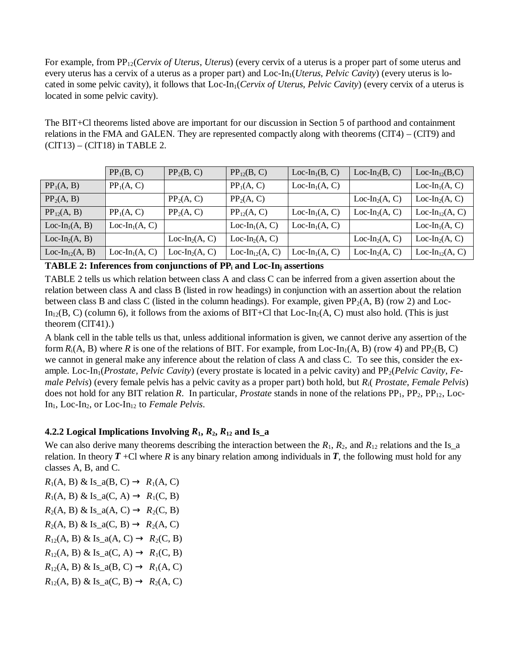For example, from PP12(*Cervix of Uterus*, *Uterus*) (every cervix of a uterus is a proper part of some uterus and every uterus has a cervix of a uterus as a proper part) and Loc-In<sub>1</sub>(*Uterus*, *Pelvic Cavity*) (every uterus is located in some pelvic cavity), it follows that Loc-In<sub>1</sub>(*Cervix of Uterus*, *Pelvic Cavity*) (every cervix of a uterus is located in some pelvic cavity).

The BIT+Cl theorems listed above are important for our discussion in Section 5 of parthood and containment relations in the FMA and GALEN. They are represented compactly along with theorems (ClT4) – (ClT9) and  $(CIT13) - (CIT18)$  in TABLE 2.

|                              | PP <sub>1</sub> (B, C)       | $PP_2(B, C)$                 | $PP_{12}(B, C)$              | Loc-In <sub>1</sub> $(B, C)$ | Loc-In <sub>2</sub> $(B, C)$ | Loc-In <sub>12</sub> (B,C)   |
|------------------------------|------------------------------|------------------------------|------------------------------|------------------------------|------------------------------|------------------------------|
| PP <sub>1</sub> (A, B)       | $PP_1(A, C)$                 |                              | PP <sub>1</sub> (A, C)       | Loc-In <sub>1</sub> $(A, C)$ |                              | Loc-In <sub>1</sub> $(A, C)$ |
| PP <sub>2</sub> (A, B)       |                              | PP <sub>2</sub> (A, C)       | PP <sub>2</sub> (A, C)       |                              | Loc-In <sub>2</sub> $(A, C)$ | Loc-In <sub>2</sub> $(A, C)$ |
| $PP_{12}(A, B)$              | PP <sub>1</sub> (A, C)       | PP <sub>2</sub> (A, C)       | $PP_{12}(A, C)$              | Loc-In <sub>1</sub> $(A, C)$ | Loc-In <sub>2</sub> $(A, C)$ | Loc-In <sub>12</sub> (A, C)  |
| Loc-In <sub>1</sub> $(A, B)$ | Loc-In <sub>1</sub> $(A, C)$ |                              | Loc-In <sub>1</sub> $(A, C)$ | Loc-In <sub>1</sub> $(A, C)$ |                              | Loc-In <sub>1</sub> $(A, C)$ |
| Loc-In <sub>2</sub> $(A, B)$ |                              | Loc-In <sub>2</sub> $(A, C)$ | Loc-In <sub>2</sub> $(A, C)$ |                              | Loc-In <sub>2</sub> $(A, C)$ | Loc-In <sub>2</sub> $(A, C)$ |
| Loc-In <sub>12</sub> (A, B)  | Loc-In <sub>1</sub> $(A, C)$ | Loc-In <sub>2</sub> $(A, C)$ | Loc-In <sub>12</sub> (A, C)  | Loc-In <sub>1</sub> $(A, C)$ | Loc-In <sub>2</sub> $(A, C)$ | Loc-In <sub>12</sub> (A, C)  |

**TABLE 2: Inferences from conjunctions of PP<sup>i</sup> and Loc-In<sup>j</sup> assertions**

TABLE 2 tells us which relation between class A and class C can be inferred from a given assertion about the relation between class A and class B (listed in row headings) in conjunction with an assertion about the relation between class B and class C (listed in the column headings). For example, given  $PP_2(A, B)$  (row 2) and Loc-In<sub>12</sub>(B, C) (column 6), it follows from the axioms of BIT+Cl that Loc-In<sub>2</sub>(A, C) must also hold. (This is just theorem (ClT41).)

A blank cell in the table tells us that, unless additional information is given, we cannot derive any assertion of the form  $R_i(A, B)$  where R is one of the relations of BIT. For example, from Loc-In<sub>1</sub>(A, B) (row 4) and PP<sub>2</sub>(B, C) we cannot in general make any inference about the relation of class A and class C. To see this, consider the example. Loc-In<sub>1</sub>(*Prostate*, *Pelvic Cavity*) (every prostate is located in a pelvic cavity) and PP<sub>2</sub>(*Pelvic Cavity*, *Female Pelvis*) (every female pelvis has a pelvic cavity as a proper part) both hold, but *R*i( *Prostate*, *Female Pelvis*) does not hold for any BIT relation *R*. In particular, *Prostate* stands in none of the relations  $PP_1$ ,  $PP_2$ ,  $PP_{12}$ , Loc-In<sub>1</sub>, Loc-In<sub>2</sub>, or Loc-In<sub>12</sub> to *Female Pelvis*.

### **4.2.2 Logical Implications Involving**  $R_1$ **,**  $R_2$ **,**  $R_{12}$  **and Is\_a**

We can also derive many theorems describing the interaction between the  $R_1$ ,  $R_2$ , and  $R_{12}$  relations and the Is\_a relation. In theory  $T + C1$  where  $R$  is any binary relation among individuals in  $T$ , the following must hold for any classes A, B, and C.

 $R_1(A, B)$  & Is  $a(B, C) \rightarrow R_1(A, C)$ 

- $R_1(A, B) \& \text{Is}_a(C, A) \rightarrow R_1(C, B)$
- $R_2(A, B)$  & Is\_a(A, C)  $\rightarrow$   $R_2(C, B)$
- $R_2(A, B) \& \text{Is}_a(C, B) \rightarrow R_2(A, C)$
- $R_{12}(A, B) \& \text{Is}\_a(A, C) \rightarrow R_2(C, B)$
- $R_{12}(A, B) \& \text{Is}_a(C, A) \rightarrow R_1(C, B)$
- $R_{12}(A, B) \& \text{Is}_a(B, C) \rightarrow R_1(A, C)$
- $R_{12}(A, B) \& \text{Is}_a(C, B) \rightarrow R_2(A, C)$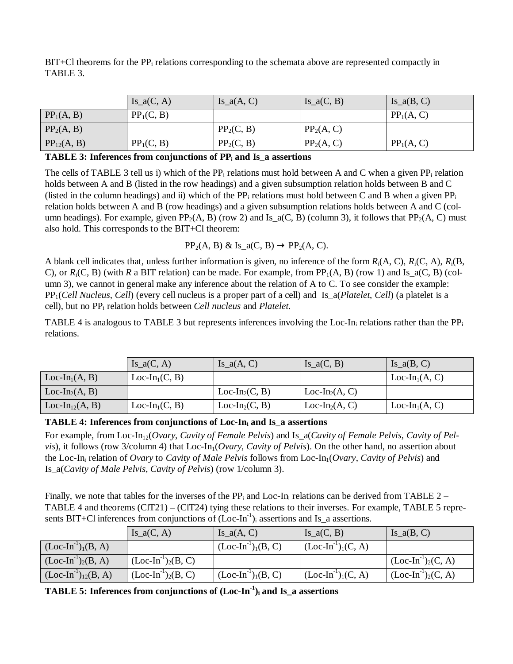$BIT+CI$  theorems for the  $PP_i$  relations corresponding to the schemata above are represented compactly in TABLE 3.

|                         | $Is_a(C, A)$           | $Is_a(A, C)$ | $Is_a(C, B)$           | $Is_a(B, C)$           |
|-------------------------|------------------------|--------------|------------------------|------------------------|
| PP <sub>1</sub> (A, B)  | PP <sub>1</sub> (C, B) |              |                        | $PP_1(A, C)$           |
| PP <sub>2</sub> (A, B)  |                        | $PP_2(C, B)$ | $PP_2(A, C)$           |                        |
| PP <sub>12</sub> (A, B) | PP <sub>1</sub> (C, B) | $PP_2(C, B)$ | PP <sub>2</sub> (A, C) | PP <sub>1</sub> (A, C) |

**TABLE 3: Inferences from conjunctions of PP<sup>i</sup> and Is\_a assertions**

The cells of TABLE 3 tell us i) which of the PP<sub>i</sub> relations must hold between A and C when a given PP<sub>i</sub> relation holds between A and B (listed in the row headings) and a given subsumption relation holds between B and C (listed in the column headings) and ii) which of the PP<sub>i</sub> relations must hold between C and B when a given  $PP_i$ relation holds between A and B (row headings) and a given subsumption relations holds between A and C (column headings). For example, given  $PP_2(A, B)$  (row 2) and Is  $a(C, B)$  (column 3), it follows that  $PP_2(A, C)$  must also hold. This corresponds to the BIT+Cl theorem:

 $PP_2(A, B) \& \text{Is}_a(C, B) \rightarrow PP_2(A, C).$ 

A blank cell indicates that, unless further information is given, no inference of the form *R*i(A, C), *R*i(C, A), *R*i(B, C), or  $R_i(C, B)$  (with *R* a BIT relation) can be made. For example, from PP<sub>1</sub>(A, B) (row 1) and Is\_a(C, B) (column 3), we cannot in general make any inference about the relation of A to C. To see consider the example: PP1(*Cell Nucleus*, *Cell*) (every cell nucleus is a proper part of a cell) and Is\_a(*Platelet*, *Cell*) (a platelet is a cell), but no PP<sup>i</sup> relation holds between *Cell nucleus* and *Platelet*.

TABLE 4 is analogous to TABLE 3 but represents inferences involving the Loc-In<sub>i</sub> relations rather than the PP<sub>i</sub> relations.

|                               | $Is_a(C, A)$                 | $Is_a(A, C)$                 | $Is_a(C, B)$                 | $Is_a(B, C)$                 |
|-------------------------------|------------------------------|------------------------------|------------------------------|------------------------------|
| Loc-In <sub>1</sub> $(A, B)$  | Loc-In <sub>1</sub> $(C, B)$ |                              |                              | Loc-In <sub>1</sub> $(A, C)$ |
| $Loc-In2(A, B)$               |                              | Loc-In <sub>2</sub> $(C, B)$ | Loc-In <sub>2</sub> $(A, C)$ |                              |
| Loc-In <sub>12</sub> $(A, B)$ | Loc-In <sub>1</sub> $(C, B)$ | Loc-In <sub>2</sub> $(C, B)$ | Loc-In <sub>2</sub> $(A, C)$ | Loc-In <sub>1</sub> $(A, C)$ |

**TABLE 4: Inferences from conjunctions of Loc-In<sup>i</sup> and Is\_a assertions**

For example, from Loc-In12(*Ovary*, *Cavity of Female Pelvis*) and Is\_a(*Cavity of Female Pelvis*, *Cavity of Pelvis*), it follows (row 3/column 4) that Loc-In<sub>1</sub>(*Ovary, Cavity of Pelvis*). On the other hand, no assertion about the Loc-In<sup>i</sup> relation of *Ovary* to *Cavity of Male Pelvis* follows from Loc-In1(*Ovary*, *Cavity of Pelvis*) and Is\_a(*Cavity of Male Pelvis*, *Cavity of Pelvis*) (row 1/column 3).

Finally, we note that tables for the inverses of the PP<sub>i</sub> and Loc-In<sub>i</sub> relations can be derived from TABLE 2 – TABLE 4 and theorems (CIT21) – (CIT24) tying these relations to their inverses. For example, TABLE 5 represents BIT+Cl inferences from conjunctions of  $(Loc-In^{-1})_i$  assertions and Is\_a assertions.

|                            | $Is_a(C, A)$              | $Is_a(A, C)$            | $Is_a(C, B)$            | $Is_a(B, C)$              |
|----------------------------|---------------------------|-------------------------|-------------------------|---------------------------|
| $(Loc-In^{-1})1(B, A)$     |                           | $(Loc-In^{-1})1(B, C)$  | $(Loc-In^{-1})1(C, A)$  |                           |
| $(Loc-In^{-1})_{2}(B, A)$  | $(Loc-In^{-1})_{2}(B, C)$ |                         |                         | $(Loc-In^{-1})_{2}(C, A)$ |
| $(Loc-In^{-1})_{12}(B, A)$ | $(Loc-In^{-1})_{2}(B, C)$ | $(Loc-In^{-1})_1(B, C)$ | $(Loc-In^{-1})_1(C, A)$ | $(Loc-In^{-1})_{2}(C, A)$ |

**TABLE 5: Inferences from conjunctions of (Loc-In -1 )<sup>i</sup> and Is\_a assertions**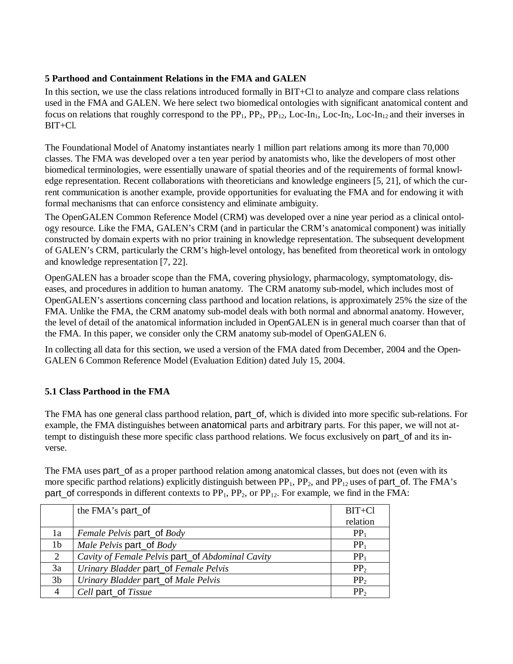# **5 Parthood and Containment Relations in the FMA and GALEN**

In this section, we use the class relations introduced formally in BIT+Cl to analyze and compare class relations used in the FMA and GALEN. We here select two biomedical ontologies with significant anatomical content and focus on relations that roughly correspond to the  $PP_1$ ,  $PP_2$ ,  $PP_{12}$ , Loc-In<sub>1</sub>, Loc-In<sub>2</sub>, Loc-In<sub>12</sub> and their inverses in BIT+Cl.

The Foundational Model of Anatomy instantiates nearly 1 million part relations among its more than 70,000 classes. The FMA was developed over a ten year period by anatomists who, like the developers of most other biomedical terminologies, were essentially unaware of spatial theories and of the requirements of formal knowledge representation. Recent collaborations with theoreticians and knowledge engineers [5, 21], of which the current communication is another example, provide opportunities for evaluating the FMA and for endowing it with formal mechanisms that can enforce consistency and eliminate ambiguity.

The OpenGALEN Common Reference Model (CRM) was developed over a nine year period as a clinical ontology resource. Like the FMA, GALEN's CRM (and in particular the CRM's anatomical component) was initially constructed by domain experts with no prior training in knowledge representation. The subsequent development of GALEN's CRM, particularly the CRM's high-level ontology, has benefited from theoretical work in ontology and knowledge representation [7, 22].

OpenGALEN has a broader scope than the FMA, covering physiology, pharmacology, symptomatology, diseases, and procedures in addition to human anatomy. The CRM anatomy sub-model, which includes most of OpenGALEN's assertions concerning class parthood and location relations, is approximately 25% the size of the FMA. Unlike the FMA, the CRM anatomy sub-model deals with both normal and abnormal anatomy. However, the level of detail of the anatomical information included in OpenGALEN is in general much coarser than that of the FMA. In this paper, we consider only the CRM anatomy sub-model of OpenGALEN 6.

In collecting all data for this section, we used a version of the FMA dated from December, 2004 and the Open-GALEN 6 Common Reference Model (Evaluation Edition) dated July 15, 2004.

# **5.1 Class Parthood in the FMA**

The FMA has one general class parthood relation, part\_of, which is divided into more specific sub-relations. For example, the FMA distinguishes between anatomical parts and arbitrary parts. For this paper, we will not attempt to distinguish these more specific class parthood relations. We focus exclusively on part\_of and its inverse.

The FMA uses part\_of as a proper parthood relation among anatomical classes, but does not (even with its more specific parthod relations) explicitly distinguish between  $PP_1$ ,  $PP_2$ , and  $PP_{12}$  uses of part\_of. The FMA's part\_of corresponds in different contexts to  $PP_1$ ,  $PP_2$ , or  $PP_{12}$ . For example, we find in the FMA:

|                | the FMA's part_of                                | $BIT+Cl$        |
|----------------|--------------------------------------------------|-----------------|
|                |                                                  | relation        |
| 1a             | Female Pelvis part_of Body                       | $PP_1$          |
| 1b             | Male Pelvis part_of Body                         | $PP_1$          |
| 2              | Cavity of Female Pelvis part_of Abdominal Cavity | $PP_1$          |
| 3a             | Urinary Bladder part_of Female Pelvis            | PP <sub>2</sub> |
| 3 <sub>b</sub> | Urinary Bladder part_of Male Pelvis              | PP <sub>2</sub> |
| 4              | Cell part of Tissue                              | PP <sub>2</sub> |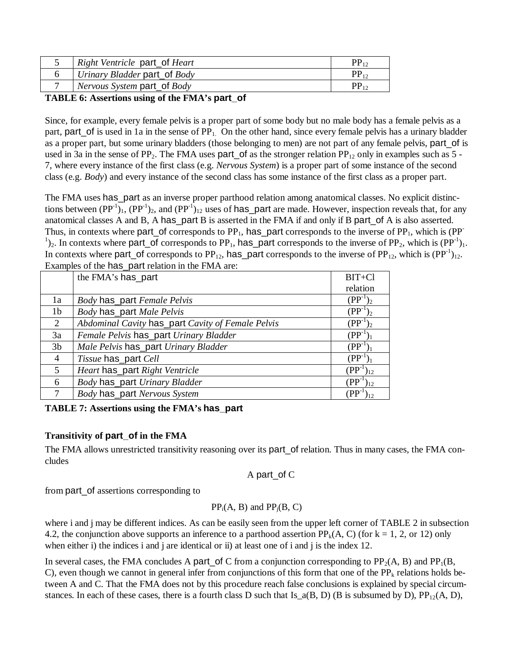| Right Ventricle part of Heart       | $\mathbf{p}_{12}$ |
|-------------------------------------|-------------------|
| <i>Urinary Bladder part of Body</i> | DD                |
| Nervous System part_of Body         | DD                |

### **TABLE 6: Assertions using of the FMA's part\_of**

Since, for example, every female pelvis is a proper part of some body but no male body has a female pelvis as a part, part\_of is used in 1a in the sense of  $PP_1$ . On the other hand, since every female pelvis has a urinary bladder as a proper part, but some urinary bladders (those belonging to men) are not part of any female pelvis, part\_of is used in 3a in the sense of PP<sub>2</sub>. The FMA uses part\_of as the stronger relation PP<sub>12</sub> only in examples such as 5 -7, where every instance of the first class (e.g. *Nervous System*) is a proper part of some instance of the second class (e.g. *Body*) and every instance of the second class has some instance of the first class as a proper part.

The FMA uses has\_part as an inverse proper parthood relation among anatomical classes. No explicit distinctions between  $(PP^{-1})_1$ ,  $(PP^{-1})_2$ , and  $(PP^{-1})_{12}$  uses of has part are made. However, inspection reveals that, for any anatomical classes A and B, A has\_part B is asserted in the FMA if and only if B part\_of A is also asserted. Thus, in contexts where  $part\_of$  corresponds to  $PP_1$ , has  $-part$  corresponds to the inverse of  $PP_1$ , which is ( $PP^T$  $1$ <sub>2</sub>. In contexts where part\_of corresponds to PP<sub>1</sub>, has\_part corresponds to the inverse of PP<sub>2</sub>, which is  $(PP<sup>-1</sup>)<sub>1</sub>$ . In contexts where part\_of corresponds to PP<sub>12</sub>, has\_part corresponds to the inverse of PP<sub>12</sub>, which is  $(PP<sup>-1</sup>)<sub>12</sub>$ . Examples of the has part relation in the FMA are:

|                | the FMA's has part                                | $BIT+Cl$                       |
|----------------|---------------------------------------------------|--------------------------------|
|                |                                                   | relation                       |
| 1a             | <b>Body has_part Female Pelvis</b>                | $(PP^{-1})_2$                  |
| 1 <sub>b</sub> | <b>Body has_part Male Pelvis</b>                  | $(PP^{-1})_2$                  |
| 2              | Abdominal Cavity has_part Cavity of Female Pelvis | $(PP^{-1})_2$                  |
| 3a             | Female Pelvis has_part Urinary Bladder            | $(PP^{-1})$                    |
| 3 <sub>b</sub> | Male Pelvis has_part Urinary Bladder              | $(PP^{-1})$                    |
| $\overline{4}$ | Tissue has_part Cell                              | $(PP^{-1})$                    |
| 5              | Heart has_part Right Ventricle                    | $(PP^{-1})_{12}$               |
| 6              | <b>Body has_part Urinary Bladder</b>              | $(PP^{-1})$<br>l <sub>12</sub> |
|                | <b>Body has_part Nervous System</b>               | (PP                            |

### **TABLE 7: Assertions using the FMA's has\_part**

### **Transitivity of part\_of in the FMA**

The FMA allows unrestricted transitivity reasoning over its part\_of relation. Thus in many cases, the FMA concludes

```
A part_of C
```
from part\_of assertions corresponding to

$$
PP_i(A, B)
$$
 and  $PP_j(B, C)$ 

where i and j may be different indices. As can be easily seen from the upper left corner of TABLE 2 in subsection 4.2, the conjunction above supports an inference to a parthood assertion  $PP_k(A, C)$  (for k = 1, 2, or 12) only when either i) the indices i and j are identical or ii) at least one of i and j is the index 12.

In several cases, the FMA concludes A part\_of C from a conjunction corresponding to  $PP_2(A, B)$  and  $PP_1(B, B)$ C), even though we cannot in general infer from conjunctions of this form that one of the  $PP_k$  relations holds between A and C. That the FMA does not by this procedure reach false conclusions is explained by special circumstances. In each of these cases, there is a fourth class D such that Is\_a(B, D) (B is subsumed by D),  $PP_{12}(A, D)$ ,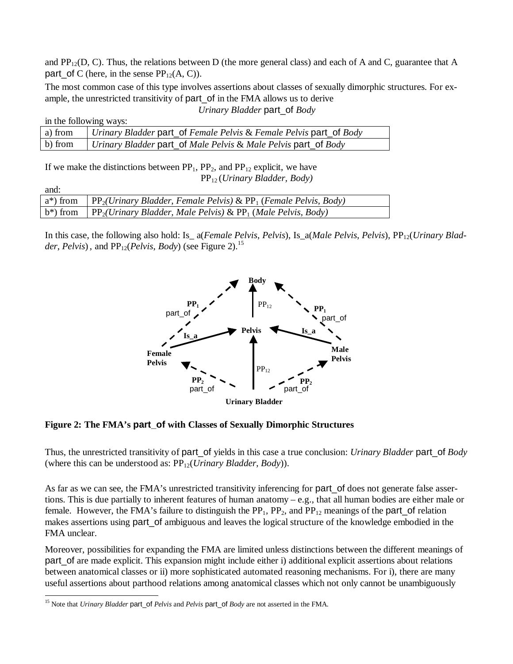and  $PP_{12}(D, C)$ . Thus, the relations between D (the more general class) and each of A and C, guarantee that A part\_of C (here, in the sense  $PP_{12}(A, C)$ ).

The most common case of this type involves assertions about classes of sexually dimorphic structures. For example, the unrestricted transitivity of part\_of in the FMA allows us to derive

*Urinary Bladder* part\_of *Body*

| In the following ways. |                                                                    |  |  |  |  |
|------------------------|--------------------------------------------------------------------|--|--|--|--|
| a) from                | Urinary Bladder part_of Female Pelvis & Female Pelvis part_of Body |  |  |  |  |
| b) from                | Urinary Bladder part_of Male Pelvis & Male Pelvis part_of Body     |  |  |  |  |

If we make the distinctions between  $PP_1$ ,  $PP_2$ , and  $PP_{12}$  explicit, we have PP12 (*Urinary Bladder, Body)*

in the following ways:

 $\overline{a}$ 

| and: |                                                                                                               |
|------|---------------------------------------------------------------------------------------------------------------|
|      | $\alpha^*$ from PP <sub>2</sub> (Urinary Bladder, Female Pelvis) & PP <sub>1</sub> (Female Pelvis, Body)      |
|      | $\mathfrak{b}^*$ ) from $\mathfrak{p}_2(U$ rinary Bladder, Male Pelvis) & PP <sub>1</sub> (Male Pelvis, Body) |

In this case, the following also hold: Is\_a(*Female Pelvis*, *Pelvis*), Is\_a(*Male Pelvis*, *Pelvis*), PP<sub>12</sub>(*Urinary Blad*der, Pelvis), and PP<sub>12</sub>(Pelvis, Body) (see Figure 2).<sup>15</sup>



#### **Figure 2: The FMA's part\_of with Classes of Sexually Dimorphic Structures**

Thus, the unrestricted transitivity of part\_of yields in this case a true conclusion: *Urinary Bladder* part\_of *Body* (where this can be understood as:  $PP_{12}(Vrinary \, Bladder, \, Body)$ ).

As far as we can see, the FMA's unrestricted transitivity inferencing for part\_of does not generate false assertions. This is due partially to inherent features of human anatomy – e.g., that all human bodies are either male or female. However, the FMA's failure to distinguish the  $PP_1$ ,  $PP_2$ , and  $PP_{12}$  meanings of the part\_of relation makes assertions using part of ambiguous and leaves the logical structure of the knowledge embodied in the FMA unclear.

Moreover, possibilities for expanding the FMA are limited unless distinctions between the different meanings of part\_of are made explicit. This expansion might include either i) additional explicit assertions about relations between anatomical classes or ii) more sophisticated automated reasoning mechanisms. For i), there are many useful assertions about parthood relations among anatomical classes which not only cannot be unambiguously

<sup>15</sup> Note that *Urinary Bladder* part\_of *Pelvis* and *Pelvis* part\_of *Body* are not asserted in the FMA.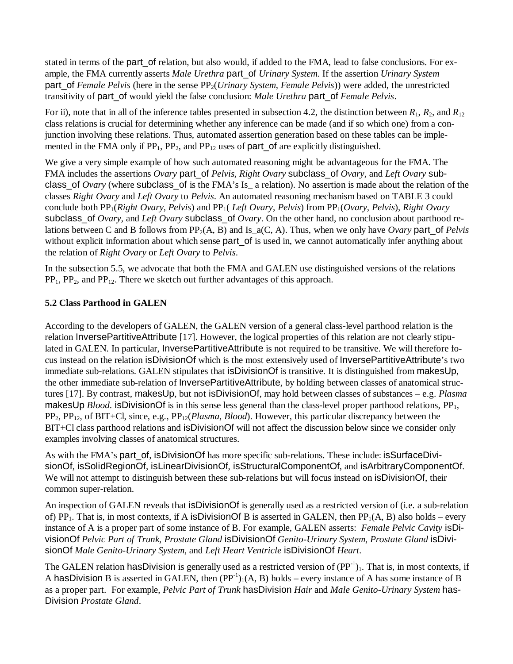stated in terms of the part of relation, but also would, if added to the FMA, lead to false conclusions. For example, the FMA currently asserts *Male Urethra* part\_of *Urinary System*. If the assertion *Urinary System*  part\_of *Female Pelvis* (here in the sense PP<sub>2</sub>(*Urinary System, Female Pelvis*)) were added, the unrestricted transitivity of part\_of would yield the false conclusion: *Male Urethra* part\_of *Female Pelvis*.

For ii), note that in all of the inference tables presented in subsection 4.2, the distinction between  $R_1$ ,  $R_2$ , and  $R_{12}$ class relations is crucial for determining whether any inference can be made (and if so which one) from a conjunction involving these relations. Thus, automated assertion generation based on these tables can be implemented in the FMA only if  $PP_1$ ,  $PP_2$ , and  $PP_{12}$  uses of part\_of are explicitly distinguished.

We give a very simple example of how such automated reasoning might be advantageous for the FMA. The FMA includes the assertions *Ovary* part\_of *Pelvis*, *Right Ovary* subclass\_of *Ovary*, and *Left Ovary* subclass of *Ovary* (where subclass of is the FMA's Is a relation). No assertion is made about the relation of the classes *Right Ovary* and *Left Ovary* to *Pelvis*. An automated reasoning mechanism based on TABLE 3 could conclude both  $PP_1(Right \, Ovary, \, Pelvis)$  and  $PP_1(Left \, Ovary, \, Pelvis)$  from  $PP_1(Ovary, \, Pelvis)$ , *Right Ovary* subclass\_of *Ovary,* and *Left Ovary* subclass\_of *Ovary*. On the other hand, no conclusion about parthood relations between C and B follows from PP2(A, B) and Is\_a(C, A). Thus, when we only have *Ovary* part\_of *Pelvis* without explicit information about which sense part\_of is used in, we cannot automatically infer anything about the relation of *Right Ovary* or *Left Ovary* to *Pelvis*.

In the subsection 5.5, we advocate that both the FMA and GALEN use distinguished versions of the relations  $PP_1$ ,  $PP_2$ , and  $PP_{12}$ . There we sketch out further advantages of this approach.

### **5.2 Class Parthood in GALEN**

According to the developers of GALEN, the GALEN version of a general class-level parthood relation is the relation InversePartitiveAttribute [17]. However, the logical properties of this relation are not clearly stipulated in GALEN. In particular, InversePartitiveAttribute is not required to be transitive. We will therefore focus instead on the relation isDivisionOf which is the most extensively used of InversePartitiveAttribute's two immediate sub-relations. GALEN stipulates that isDivisionOf is transitive. It is distinguished from makesUp, the other immediate sub-relation of InversePartitiveAttribute, by holding between classes of anatomical structures [17]. By contrast, makesUp, but not isDivisionOf, may hold between classes of substances – e.g. *Plasma*  makesUp *Blood*. isDivisionOf is in this sense less general than the class-level proper parthood relations, PP<sub>1</sub>, PP2, PP12, of BIT+Cl, since, e.g., PP12(*Plasma*, *Blood*). However, this particular discrepancy between the BIT+Cl class parthood relations and isDivisionOf will not affect the discussion below since we consider only examples involving classes of anatomical structures.

As with the FMA's part of, isDivisionOf has more specific sub-relations. These include: isSurfaceDivisionOf, isSolidRegionOf, isLinearDivisionOf, isStructuralComponentOf, and isArbitraryComponentOf. We will not attempt to distinguish between these sub-relations but will focus instead on isDivisionOf, their common super-relation.

An inspection of GALEN reveals that isDivisionOf is generally used as a restricted version of (i.e. a sub-relation of) PP<sub>1</sub>. That is, in most contexts, if A isDivisionOf B is asserted in GALEN, then  $PP_1(A, B)$  also holds – every instance of A is a proper part of some instance of B. For example, GALEN asserts: *Female Pelvic Cavity* isDivisionOf *Pelvic Part of Trunk*, *Prostate Gland* isDivisionOf *Genito-Urinary System*, *Prostate Gland* isDivisionOf *Male Genito-Urinary System*, and *Left Heart Ventricle* isDivisionOf *Heart*.

The GALEN relation hasDivision is generally used as a restricted version of  $(PP<sup>-1</sup>)<sub>1</sub>$ . That is, in most contexts, if A hasDivision B is asserted in GALEN, then  $(PP^{-1})_1(A, B)$  holds – every instance of A has some instance of B as a proper part. For example, *Pelvic Part of Trunk* hasDivision *Hair* and *Male Genito-Urinary System* has-Division *Prostate Gland*.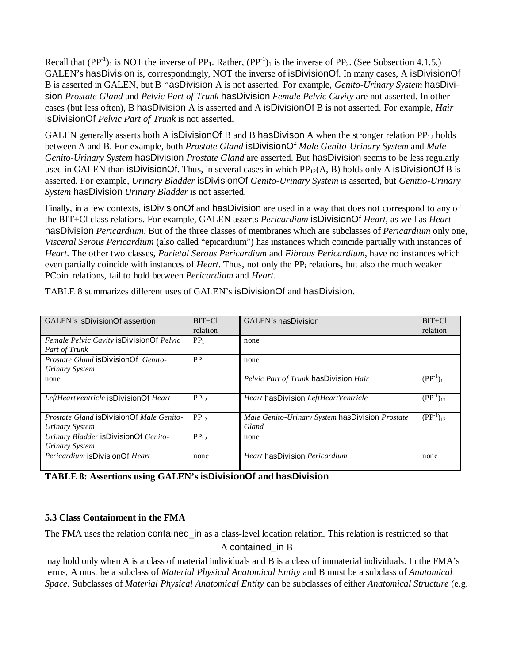Recall that  $(PP^{-1})_1$  is NOT the inverse of PP<sub>1</sub>. Rather,  $(PP^{-1})_1$  is the inverse of PP<sub>2</sub>. (See Subsection 4.1.5.) GALEN's hasDivision is, correspondingly, NOT the inverse of isDivisionOf. In many cases, A isDivisionOf B is asserted in GALEN, but B hasDivision A is not asserted. For example, *Genito-Urinary System* hasDivision *Prostate Gland* and *Pelvic Part of Trunk* hasDivision *Female Pelvic Cavity* are not asserted. In other cases (but less often), B hasDivision A is asserted and A isDivisionOf B is not asserted. For example, *Hair* isDivisionOf *Pelvic Part of Trunk* is not asserted.

GALEN generally asserts both A isDivisionOf B and B hasDivison A when the stronger relation  $PP_{12}$  holds between A and B. For example, both *Prostate Gland* isDivisionOf *Male Genito-Urinary System* and *Male Genito-Urinary System* hasDivision *Prostate Gland* are asserted. But hasDivision seems to be less regularly used in GALEN than isDivisionOf. Thus, in several cases in which  $PP_{12}(A, B)$  holds only A isDivisionOf B is asserted. For example, *Urinary Bladder* isDivisionOf *Genito-Urinary System* is asserted, but *Genitio-Urinary System* hasDivision *Urinary Bladder* is not asserted.

Finally, in a few contexts, isDivisionOf and hasDivision are used in a way that does not correspond to any of the BIT+Cl class relations. For example, GALEN asserts *Pericardium* isDivisionOf *Heart*, as well as *Heart* hasDivision *Pericardium*. But of the three classes of membranes which are subclasses of *Pericardium* only one, *Visceral Serous Pericardium* (also called "epicardium") has instances which coincide partially with instances of *Heart*. The other two classes, *Parietal Serous Pericardium* and *Fibrous Pericardium*, have no instances which even partially coincide with instances of *Heart*. Thus, not only the PP<sub>i</sub> relations, but also the much weaker PCoin<sup>i</sup> relations, fail to hold between *Pericardium* and *Heart*.

| GALEN's is Division Of assertion                    | $BIT+Cl$  | GALEN's hasDivision                             | $BIT+Cl$         |
|-----------------------------------------------------|-----------|-------------------------------------------------|------------------|
|                                                     | relation  |                                                 | relation         |
| Female Pelvic Cavity is Division Of Pelvic          | $PP_1$    | none                                            |                  |
| Part of Trunk                                       |           |                                                 |                  |
| <i>Prostate Gland</i> is Division Of <i>Genito-</i> | $PP_1$    | none                                            |                  |
| Urinary System                                      |           |                                                 |                  |
| none                                                |           | Pelvic Part of Trunk has Division Hair          | $(PP^{-1})$      |
|                                                     |           |                                                 |                  |
| LeftHeartVentricle isDivisionOf Heart               | $PP_{12}$ | Heart has Division Left Heart Ventricle         | $(PP^{-1})_{12}$ |
|                                                     |           |                                                 |                  |
| <i>Prostate Gland</i> is Division Of Male Genito-   | $PP_{12}$ | Male Genito-Urinary System hasDivision Prostate | $(PP^{-1})_{12}$ |
| Urinary System                                      |           | Gland                                           |                  |
| Urinary Bladder isDivisionOf Genito-                | $PP_{12}$ | none                                            |                  |
| Urinary System                                      |           |                                                 |                  |
| Pericardium isDivisionOf Heart                      | none      | Heart hasDivision Pericardium                   | none             |
|                                                     |           |                                                 |                  |

TABLE 8 summarizes different uses of GALEN's isDivisionOf and hasDivision.

### **TABLE 8: Assertions using GALEN's isDivisionOf and hasDivision**

### **5.3 Class Containment in the FMA**

The FMA uses the relation contained\_in as a class-level location relation. This relation is restricted so that

### A contained\_in B

may hold only when A is a class of material individuals and B is a class of immaterial individuals. In the FMA's terms, A must be a subclass of *Material Physical Anatomical Entity* and B must be a subclass of *Anatomical Space*. Subclasses of *Material Physical Anatomical Entity* can be subclasses of either *Anatomical Structure* (e.g.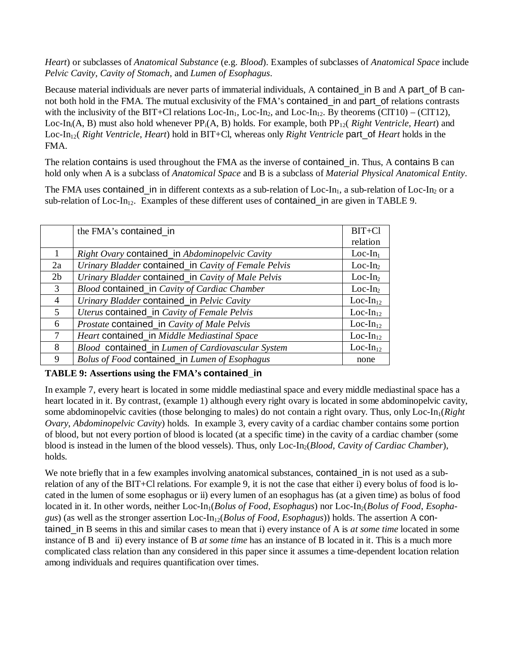*Heart*) or subclasses of *Anatomical Substance* (e.g. *Blood*). Examples of subclasses of *Anatomical Space* include *Pelvic Cavity*, *Cavity of Stomach*, and *Lumen of Esophagus*.

Because material individuals are never parts of immaterial individuals, A contained\_in B and A part\_of B cannot both hold in the FMA. The mutual exclusivity of the FMA's contained\_in and part\_of relations contrasts with the inclusivity of the BIT+Cl relations Loc-In<sub>1</sub>, Loc-In<sub>2</sub>, and Loc-In<sub>12</sub>. By theorems (CIT10) – (CIT12), Loc-In<sub>i</sub>(A, B) must also hold whenever PP<sub>i</sub>(A, B) holds. For example, both PP<sub>12</sub>(*Right Ventricle*, *Heart*) and Loc-In12( *Right Ventricle*, *Heart*) hold in BIT+Cl, whereas only *Right Ventricle* part\_of *Heart* holds in the FMA.

The relation contains is used throughout the FMA as the inverse of contained\_in. Thus, A contains B can hold only when A is a subclass of *Anatomical Space* and B is a subclass of *Material Physical Anatomical Entity*.

The FMA uses contained in in different contexts as a sub-relation of Loc-In<sub>1</sub>, a sub-relation of Loc-In<sub>2</sub> or a sub-relation of Loc-In<sub>12</sub>. Examples of these different uses of **contained** in are given in TABLE 9.

|                | the FMA's contained_in                               | $BIT+Cl$             |
|----------------|------------------------------------------------------|----------------------|
|                |                                                      | relation             |
| 1              | Right Ovary contained_in Abdominopelvic Cavity       | $Loc-In1$            |
| 2a             | Urinary Bladder contained_in Cavity of Female Pelvis | $Loc-In2$            |
| 2 <sub>b</sub> | Urinary Bladder contained_in Cavity of Male Pelvis   | $Loc-In2$            |
| 3              | Blood contained_in Cavity of Cardiac Chamber         | $Loc-In2$            |
| $\overline{4}$ | Urinary Bladder contained_in Pelvic Cavity           | $Loc-In12$           |
| 5              | Uterus contained_in Cavity of Female Pelvis          | $Loc-In12$           |
| 6              | Prostate contained_in Cavity of Male Pelvis          | Loc-In <sub>12</sub> |
| 7              | Heart contained_in Middle Mediastinal Space          | Loc-In <sub>12</sub> |
| 8              | Blood contained_in Lumen of Cardiovascular System    | $Loc-In12$           |
| 9              | <b>Bolus of Food contained_in Lumen of Esophagus</b> | none                 |

**TABLE 9: Assertions using the FMA's contained\_in**

In example 7, every heart is located in some middle mediastinal space and every middle mediastinal space has a heart located in it. By contrast, (example 1) although every right ovary is located in some abdominopelvic cavity, some abdominopelvic cavities (those belonging to males) do not contain a right ovary. Thus, only Loc-In<sub>1</sub>(*Right Ovary*, *Abdominopelvic Cavity*) holds. In example 3, every cavity of a cardiac chamber contains some portion of blood, but not every portion of blood is located (at a specific time) in the cavity of a cardiac chamber (some blood is instead in the lumen of the blood vessels). Thus, only Loc-In<sub>2</sub>(*Blood, Cavity of Cardiac Chamber*), holds.

We note briefly that in a few examples involving anatomical substances, contained in is not used as a subrelation of any of the BIT+Cl relations. For example 9, it is not the case that either i) every bolus of food is located in the lumen of some esophagus or ii) every lumen of an esophagus has (at a given time) as bolus of food located in it. In other words, neither Loc-In<sub>1</sub>(*Bolus of Food, Esophagus*) nor Loc-In<sub>2</sub>(*Bolus of Food, Esophagus*) (as well as the stronger assertion Loc-In12(*Bolus of Food*, *Esophagus*)) holds. The assertion A contained\_in B seems in this and similar cases to mean that i) every instance of A is *at some time* located in some instance of B and ii) every instance of B *at some time* has an instance of B located in it. This is a much more complicated class relation than any considered in this paper since it assumes a time-dependent location relation among individuals and requires quantification over times.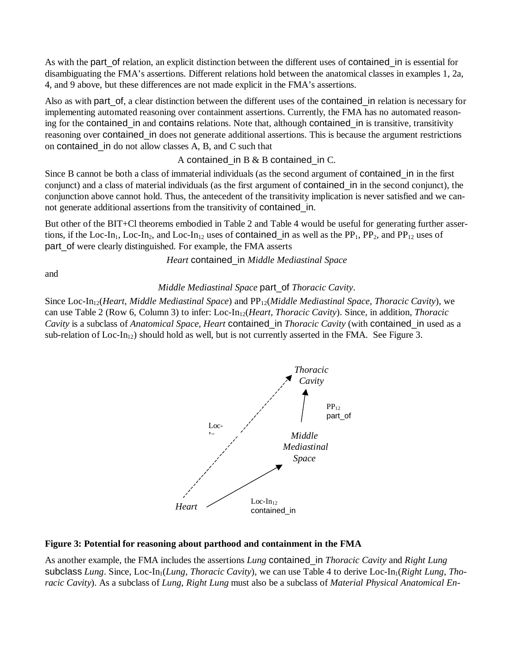As with the part\_of relation, an explicit distinction between the different uses of contained\_in is essential for disambiguating the FMA's assertions. Different relations hold between the anatomical classes in examples 1, 2a, 4, and 9 above, but these differences are not made explicit in the FMA's assertions.

Also as with part\_of, a clear distinction between the different uses of the contained\_in relation is necessary for implementing automated reasoning over containment assertions. Currently, the FMA has no automated reasoning for the contained in and contains relations. Note that, although contained in is transitive, transitivity reasoning over contained in does not generate additional assertions. This is because the argument restrictions on contained\_in do not allow classes A, B, and C such that

### A contained\_in B & B contained\_in C.

Since B cannot be both a class of immaterial individuals (as the second argument of contained\_in in the first conjunct) and a class of material individuals (as the first argument of contained\_in in the second conjunct), the conjunction above cannot hold. Thus, the antecedent of the transitivity implication is never satisfied and we cannot generate additional assertions from the transitivity of contained\_in.

But other of the BIT+Cl theorems embodied in Table 2 and Table 4 would be useful for generating further assertions, if the Loc-In<sub>1</sub>, Loc-In<sub>2</sub>, and Loc-In<sub>12</sub> uses of **contained** in as well as the PP<sub>1</sub>, PP<sub>2</sub>, and PP<sub>12</sub> uses of part\_of were clearly distinguished. For example, the FMA asserts

*Heart* contained\_in *Middle Mediastinal Space*

and

### *Middle Mediastinal Space* part\_of *Thoracic Cavity*.

Since Loc-In12(*Heart*, *Middle Mediastinal Space*) and PP12(*Middle Mediastinal Space*, *Thoracic Cavity*), we can use Table 2 (Row 6, Column 3) to infer: Loc-In12(*Heart*, *Thoracic Cavity*). Since, in addition, *Thoracic Cavity* is a subclass of *Anatomical Space*, *Heart* contained\_in *Thoracic Cavity* (with contained\_in used as a sub-relation of Loc-In<sub>12</sub>) should hold as well, but is not currently asserted in the FMA. See Figure 3.



#### **Figure 3: Potential for reasoning about parthood and containment in the FMA**

As another example, the FMA includes the assertions *Lung* contained\_in *Thoracic Cavity* and *Right Lung*  subclass *Lung*. Since, Loc-In<sub>1</sub>(*Lung*, *Thoracic Cavity*), we can use Table 4 to derive Loc-In<sub>1</sub>(*Right Lung*, *Thoracic Cavity*). As a subclass of *Lung*, *Right Lung* must also be a subclass of *Material Physical Anatomical En-*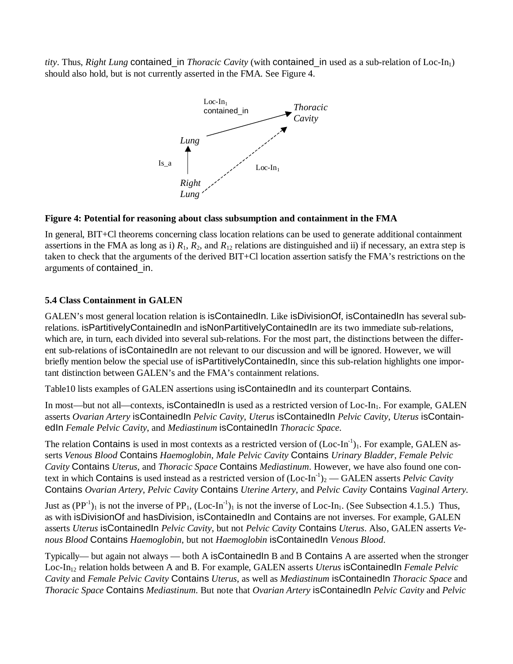*tity*. Thus, *Right Lung* contained\_in *Thoracic Cavity* (with contained\_in used as a sub-relation of Loc-In<sub>1</sub>) should also hold, but is not currently asserted in the FMA. See Figure 4.



### **Figure 4: Potential for reasoning about class subsumption and containment in the FMA**

In general, BIT+Cl theorems concerning class location relations can be used to generate additional containment assertions in the FMA as long as i)  $R_1$ ,  $R_2$ , and  $R_{12}$  relations are distinguished and ii) if necessary, an extra step is taken to check that the arguments of the derived BIT+Cl location assertion satisfy the FMA's restrictions on the arguments of contained\_in.

### **5.4 Class Containment in GALEN**

GALEN's most general location relation is isContainedIn. Like isDivisionOf, isContainedIn has several subrelations. isPartitivelyContainedIn and isNonPartitivelyContainedIn are its two immediate sub-relations, which are, in turn, each divided into several sub-relations. For the most part, the distinctions between the different sub-relations of isContainedIn are not relevant to our discussion and will be ignored. However, we will briefly mention below the special use of isPartitivelyContainedIn, since this sub-relation highlights one important distinction between GALEN's and the FMA's containment relations.

Table10 lists examples of GALEN assertions using isContainedIn and its counterpart Contains.

In most—but not all—contexts, isContainedIn is used as a restricted version of Loc-In<sub>1</sub>. For example, GALEN asserts *Ovarian Artery* isContainedIn *Pelvic Cavity*, *Uterus* isContainedIn *Pelvic Cavity*, *Uterus* isContainedIn *Female Pelvic Cavity*, and *Mediastinum* isContainedIn *Thoracic Space*.

The relation Contains is used in most contexts as a restricted version of  $(Loc-In^{-1})_1$ . For example, GALEN asserts *Venous Blood* Contains *Haemoglobin*, *Male Pelvic Cavity* Contains *Urinary Bladder*, *Female Pelvic Cavity* Contains *Uterus*, and *Thoracic Space* Contains *Mediastinum*. However, we have also found one context in which Contains is used instead as a restricted version of  $(Loc-In<sup>-1</sup>)<sub>2</sub> — GALEN asserts *Pelvic Cavity*$ Contains *Ovarian Artery*, *Pelvic Cavity* Contains *Uterine Artery*, and *Pelvic Cavity* Contains *Vaginal Artery*.

Just as  $(PP^{-1})_1$  is not the inverse of  $PP_1$ ,  $(Loc-In^{-1})_1$  is not the inverse of Loc-In<sub>1</sub>. (See Subsection 4.1.5.) Thus, as with isDivisionOf and hasDivision, isContainedIn and Contains are not inverses. For example, GALEN asserts *Uterus* isContainedIn *Pelvic Cavity*, but not *Pelvic Cavity* Contains *Uterus*. Also, GALEN asserts *Venous Blood* Contains *Haemoglobin*, but not *Haemoglobin* isContainedIn *Venous Blood*.

Typically— but again not always — both A isContainedIn B and B Contains A are asserted when the stronger Loc-In<sub>12</sub> relation holds between A and B. For example, GALEN asserts *Uterus* isContainedIn *Female Pelvic Cavity* and *Female Pelvic Cavity* Contains *Uterus*, as well as *Mediastinum* isContainedIn *Thoracic Space* and *Thoracic Space* Contains *Mediastinum*. But note that *Ovarian Artery* isContainedIn *Pelvic Cavity* and *Pelvic*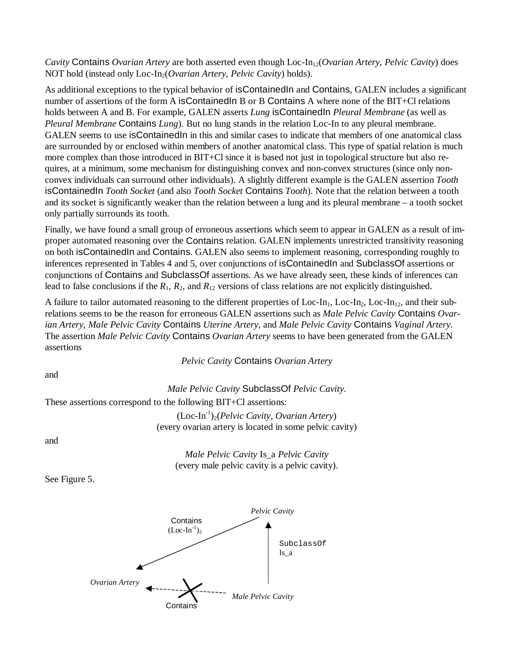*Cavity Contains Ovarian Artery* are both asserted even though Loc-In<sub>12</sub>(*Ovarian Artery*, *Pelvic Cavity*) does NOT hold (instead only Loc-In2(*Ovarian Artery*, *Pelvic Cavity*) holds).

As additional exceptions to the typical behavior of isContainedIn and Contains, GALEN includes a significant number of assertions of the form A isContainedIn B or B Contains A where none of the BIT+Cl relations holds between A and B. For example, GALEN asserts *Lung* isContainedIn *Pleural Membrane* (as well as *Pleural Membrane* Contains *Lung*). But no lung stands in the relation Loc-In to any pleural membrane. GALEN seems to use is Contained in this and similar cases to indicate that members of one anatomical class are surrounded by or enclosed within members of another anatomical class. This type of spatial relation is much more complex than those introduced in BIT+Cl since it is based not just in topological structure but also requires, at a minimum, some mechanism for distinguishing convex and non-convex structures (since only nonconvex individuals can surround other individuals). A slightly different example is the GALEN assertion *Tooth*  isContainedIn *Tooth Socket* (and also *Tooth Socket* Contains *Tooth*). Note that the relation between a tooth and its socket is significantly weaker than the relation between a lung and its pleural membrane – a tooth socket only partially surrounds its tooth.

Finally, we have found a small group of erroneous assertions which seem to appear in GALEN as a result of improper automated reasoning over the Contains relation. GALEN implements unrestricted transitivity reasoning on both isContainedIn and Contains. GALEN also seems to implement reasoning, corresponding roughly to inferences represented in Tables 4 and 5, over conjunctions of isContainedIn and SubclassOf assertions or conjunctions of Contains and SubclassOf assertions. As we have already seen, these kinds of inferences can lead to false conclusions if the *R*1, *R*2, and *R*<sup>12</sup> versions of class relations are not explicitly distinguished.

A failure to tailor automated reasoning to the different properties of Loc-In<sub>1</sub>, Loc-In<sub>2</sub>, Loc-In<sub>12</sub>, and their subrelations seems to be the reason for erroneous GALEN assertions such as *Male Pelvic Cavity* Contains *Ovarian Artery*, *Male Pelvic Cavity* Contains *Uterine Artery*, and *Male Pelvic Cavity* Contains *Vaginal Artery*. The assertion *Male Pelvic Cavity* Contains *Ovarian Artery* seems to have been generated from the GALEN assertions

*Pelvic Cavity* Contains *Ovarian Artery*

and

*Male Pelvic Cavity* SubclassOf *Pelvic Cavity*.

These assertions correspond to the following BIT+Cl assertions:

(Loc-In -1 )2(*Pelvic Cavity*, *Ovarian Artery*) (every ovarian artery is located in some pelvic cavity)

and

*Male Pelvic Cavity* Is\_a *Pelvic Cavity* (every male pelvic cavity is a pelvic cavity).

See Figure 5.

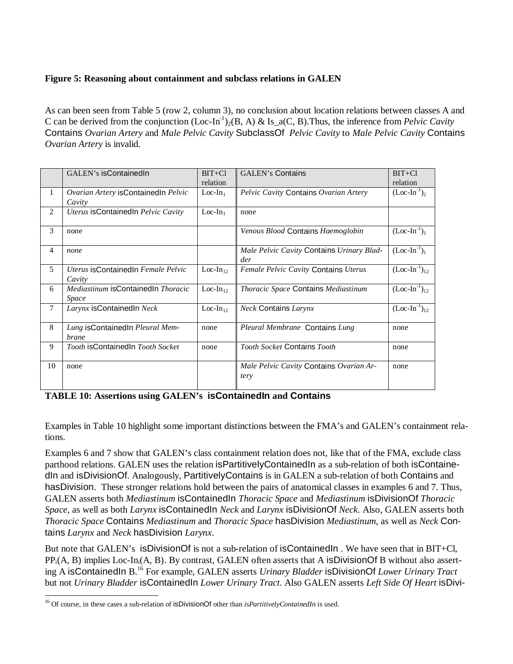## **Figure 5: Reasoning about containment and subclass relations in GALEN**

As can been seen from Table 5 (row 2, column 3), no conclusion about location relations between classes A and C can be derived from the conjunction  $(Loc-In^{-1})_2(B, A) \& Is_a(C, B)$ . Thus, the inference from *Pelvic Cavity* Contains *Ovarian Artery* and *Male Pelvic Cavity* SubclassOf *Pelvic Cavity* to *Male Pelvic Cavity* Contains *Ovarian Artery* is invalid.

|    | GALEN's isContainedIn                      | $BIT+Cl$             | <b>GALEN's Contains</b>                      | $BIT+Cl$             |
|----|--------------------------------------------|----------------------|----------------------------------------------|----------------------|
|    |                                            | relation             |                                              | relation             |
|    |                                            |                      |                                              |                      |
| 1  | Ovarian Artery isContained In Pelvic       | $Loc-In1$            | <i>Pelvic Cavity Contains Ovarian Artery</i> | $(Loc-In^{-1})_2$    |
|    | Cavity                                     |                      |                                              |                      |
| 2  | <b>Uterus isContainedIn Pelvic Cavity</b>  | $Loc-In1$            | none                                         |                      |
|    |                                            |                      |                                              |                      |
|    |                                            |                      |                                              |                      |
| 3  | none                                       |                      | Venous Blood Contains Haemoglobin            | $(Loc-In^{-1})_1$    |
|    |                                            |                      |                                              |                      |
|    |                                            |                      |                                              |                      |
| 4  | none                                       |                      | Male Pelvic Cavity Contains Urinary Blad-    | $(Loc-In^{-1})_1$    |
|    |                                            |                      | der                                          |                      |
| 5  | <i>Uterus</i> isContained In Female Pelvic | $Loc-In_{12}$        | Female Pelvic Cavity Contains Uterus         | $(Loc-In^{-1})_{12}$ |
|    |                                            |                      |                                              |                      |
|    | Cavity                                     |                      |                                              |                      |
| 6  | Mediastinum isContained In Thoracic        | Loc-In <sub>12</sub> | Thoracic Space Contains Mediastinum          | $(Loc-In^{-1})_{12}$ |
|    | <i>Space</i>                               |                      |                                              |                      |
|    |                                            |                      |                                              |                      |
| 7  | Larynx isContainedIn Neck                  | $Loc-In_{12}$        | <b>Neck Contains Larynx</b>                  | $(Loc-In^{-1})_{12}$ |
|    |                                            |                      |                                              |                      |
| 8  |                                            |                      |                                              |                      |
|    | Lung isContainedIn Pleural Mem-            | none                 | Pleural Membrane Contains Lung               | none                 |
|    | <i>brane</i>                               |                      |                                              |                      |
| 9  | Tooth isContainedIn Tooth Socket           | none                 | <b>Tooth Socket Contains Tooth</b>           | none                 |
|    |                                            |                      |                                              |                      |
|    |                                            |                      |                                              |                      |
| 10 | none                                       |                      | Male Pelvic Cavity Contains Ovarian Ar-      | none                 |
|    |                                            |                      | tery                                         |                      |
|    |                                            |                      |                                              |                      |
|    |                                            |                      |                                              |                      |

**TABLE 10: Assertions using GALEN's isContainedIn and Contains**

Examples in Table 10 highlight some important distinctions between the FMA's and GALEN's containment relations.

Examples 6 and 7 show that GALEN's class containment relation does not, like that of the FMA, exclude class parthood relations. GALEN uses the relation isPartitivelyContainedIn as a sub-relation of both isContainedln and isDivisionOf. Analogously, PartitivelyContains is in GALEN a sub-relation of both Contains and hasDivision. These stronger relations hold between the pairs of anatomical classes in examples 6 and 7. Thus, GALEN asserts both *Mediastinum* isContainedIn *Thoracic Space* and *Mediastinum* isDivisionOf *Thoracic Space*, as well as both *Larynx* isContainedIn *Neck* and *Larynx* isDivisionOf *Neck*. Also, GALEN asserts both *Thoracic Space* Contains *Mediastinum* and *Thoracic Space* hasDivision *Mediastinum*, as well as *Neck* Contains *Larynx* and *Neck* hasDivision *Larynx*.

But note that GALEN's isDivisionOf is not a sub-relation of isContainedIn. We have seen that in BIT+Cl,  $PP_i(A, B)$  implies Loc-In<sub>i</sub>(A, B). By contrast, GALEN often asserts that A isDivisionOf B without also asserting A isContainedIn B. <sup>16</sup> For example, GALEN asserts *Urinary Bladder* isDivisionOf *Lower Urinary Tract* but not *Urinary Bladder* isContainedIn *Lower Urinary Tract*. Also GALEN asserts *Left Side Of Heart* isDivi-

 $\overline{a}$ 

<sup>16</sup> Of course, in these cases a sub-relation of isDivisionOf other than *isPartitivelyContainedIn* is used.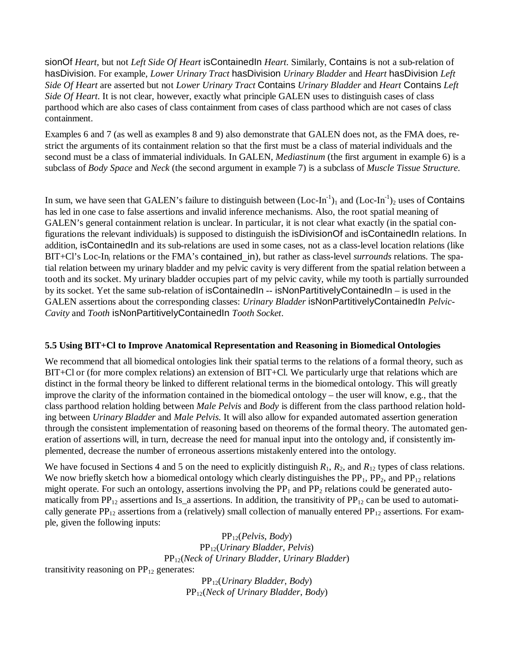sionOf *Heart*, but not *Left Side Of Heart* isContainedIn *Heart*. Similarly, Contains is not a sub-relation of hasDivision. For example, *Lower Urinary Tract* hasDivision *Urinary Bladder* and *Heart* hasDivision *Left Side Of Heart* are asserted but not *Lower Urinary Tract* Contains *Urinary Bladder* and *Heart* Contains *Left Side Of Heart*. It is not clear, however, exactly what principle GALEN uses to distinguish cases of class parthood which are also cases of class containment from cases of class parthood which are not cases of class containment.

Examples 6 and 7 (as well as examples 8 and 9) also demonstrate that GALEN does not, as the FMA does, restrict the arguments of its containment relation so that the first must be a class of material individuals and the second must be a class of immaterial individuals. In GALEN, *Mediastinum* (the first argument in example 6) is a subclass of *Body Space* and *Neck* (the second argument in example 7) is a subclass of *Muscle Tissue Structure*.

In sum, we have seen that GALEN's failure to distinguish between  $(Loc-In^{-1})_1$  and  $(Loc-In^{-1})_2$  uses of Contains has led in one case to false assertions and invalid inference mechanisms. Also, the root spatial meaning of GALEN's general containment relation is unclear. In particular, it is not clear what exactly (in the spatial configurations the relevant individuals) is supposed to distinguish the isDivisionOf and isContainedIn relations. In addition, isContainedIn and its sub-relations are used in some cases, not as a class-level location relations (like BIT+Cl's Loc-In<sub>i</sub> relations or the FMA's contained in), but rather as class-level *surrounds* relations. The spatial relation between my urinary bladder and my pelvic cavity is very different from the spatial relation between a tooth and its socket. My urinary bladder occupies part of my pelvic cavity, while my tooth is partially surrounded by its socket. Yet the same sub-relation of isContainedIn -- isNonPartitivelyContainedIn – is used in the GALEN assertions about the corresponding classes: *Urinary Bladder* is Non Partitively Contained In *Pelvic*-*Cavity* and *Tooth* isNonPartitivelyContainedIn *Tooth Socket*.

### **5.5 Using BIT+Cl to Improve Anatomical Representation and Reasoning in Biomedical Ontologies**

We recommend that all biomedical ontologies link their spatial terms to the relations of a formal theory, such as BIT+Cl or (for more complex relations) an extension of BIT+Cl. We particularly urge that relations which are distinct in the formal theory be linked to different relational terms in the biomedical ontology. This will greatly improve the clarity of the information contained in the biomedical ontology – the user will know, e.g., that the class parthood relation holding between *Male Pelvis* and *Body* is different from the class parthood relation holding between *Urinary Bladder* and *Male Pelvis*. It will also allow for expanded automated assertion generation through the consistent implementation of reasoning based on theorems of the formal theory. The automated generation of assertions will, in turn, decrease the need for manual input into the ontology and, if consistently implemented, decrease the number of erroneous assertions mistakenly entered into the ontology.

We have focused in Sections 4 and 5 on the need to explicitly distinguish  $R_1$ ,  $R_2$ , and  $R_{12}$  types of class relations. We now briefly sketch how a biomedical ontology which clearly distinguishes the  $PP_1$ ,  $PP_2$ , and  $PP_{12}$  relations might operate. For such an ontology, assertions involving the  $PP_1$  and  $PP_2$  relations could be generated automatically from  $PP_{12}$  assertions and Is\_a assertions. In addition, the transitivity of  $PP_{12}$  can be used to automatically generate  $PP_{12}$  assertions from a (relatively) small collection of manually entered  $PP_{12}$  assertions. For example, given the following inputs:

> PP12(*Pelvis*, *Body*) PP12(*Urinary Bladder*, *Pelvis*) PP12(*Neck of Urinary Bladder*, *Urinary Bladder*)

transitivity reasoning on  $PP_{12}$  generates:

PP12(*Urinary Bladder*, *Body*) PP12(*Neck of Urinary Bladder*, *Body*)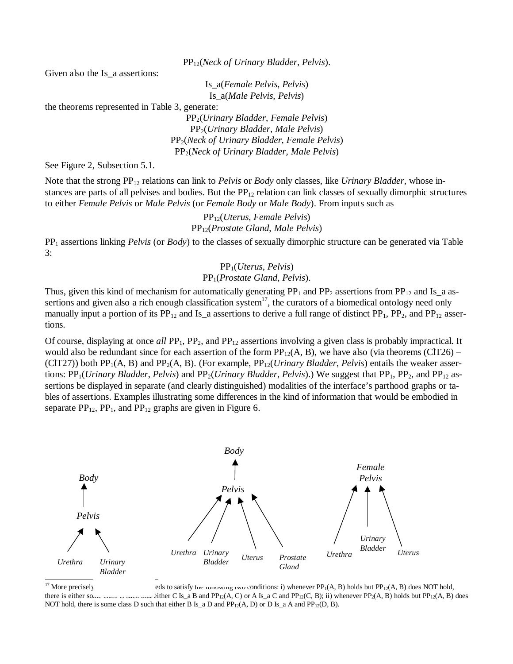PP12(*Neck of Urinary Bladder*, *Pelvis*).

Given also the Is\_a assertions:

Is\_a(*Female Pelvis*, *Pelvis*) Is\_a(*Male Pelvis*, *Pelvis*)

the theorems represented in Table 3, generate:

PP2(*Urinary Bladder*, *Female Pelvis*) PP2(*Urinary Bladder*, *Male Pelvis*) PP2(*Neck of Urinary Bladder*, *Female Pelvis*) PP2(*Neck of Urinary Bladder*, *Male Pelvis*)

See Figure 2, Subsection 5.1.

Note that the strong PP<sup>12</sup> relations can link to *Pelvis* or *Body* only classes, like *Urinary Bladder*, whose instances are parts of all pelvises and bodies. But the  $PP_{12}$  relation can link classes of sexually dimorphic structures to either *Female Pelvis* or *Male Pelvis* (or *Female Body* or *Male Body*). From inputs such as

> PP12(*Uterus*, *Female Pelvis*) PP12(*Prostate Gland*, *Male Pelvis*)

PP<sup>1</sup> assertions linking *Pelvis* (or *Body*) to the classes of sexually dimorphic structure can be generated via Table 3:

#### PP1(*Uterus*, *Pelvis*)

#### PP1(*Prostate Gland*, *Pelvis*).

Thus, given this kind of mechanism for automatically generating  $PP_1$  and  $PP_2$  assertions from  $PP_{12}$  and Is\_a assertions and given also a rich enough classification system<sup>17</sup>, the curators of a biomedical ontology need only manually input a portion of its  $PP_{12}$  and Is\_a assertions to derive a full range of distinct  $PP_1$ ,  $PP_2$ , and  $PP_{12}$  assertions.

Of course, displaying at once *all* PP<sub>1</sub>, PP<sub>2</sub>, and PP<sub>12</sub> assertions involving a given class is probably impractical. It would also be redundant since for each assertion of the form  $PP_{12}(A, B)$ , we have also (via theorems (CIT26) – (CIT27)) both  $PP_1(A, B)$  and  $PP_2(A, B)$ . (For example,  $PP_{12}(Uninary \, \textit{Bladder}, \textit{Pelvis})$  entails the weaker assertions: PP<sub>1</sub>(*Urinary Bladder*, *Pelvis*) and PP<sub>2</sub>(*Urinary Bladder*, *Pelvis*).) We suggest that PP<sub>1</sub>, PP<sub>2</sub>, and PP<sub>12</sub> assertions be displayed in separate (and clearly distinguished) modalities of the interface's parthood graphs or tables of assertions. Examples illustrating some differences in the kind of information that would be embodied in separate  $PP_{12}$ ,  $PP_1$ , and  $PP_{12}$  graphs are given in Figure 6.



<sup>&</sup>lt;sup>17</sup> More precisely eds to satisfy the following two conditions: i) whenever  $PP_1(A, B)$  holds but  $PP_{12}(A, B)$  does NOT hold, there is either some class C such that either C Is\_a B and PP<sub>12</sub>(A, C) or A Is\_a C and PP<sub>12</sub>(C, B); ii) whenever PP<sub>2</sub>(A, B) holds but PP<sub>12</sub>(A, B) does NOT hold, there is some class D such that either B Is\_a D and  $PP_{12}(A, D)$  or D Is\_a A and  $PP_{12}(D, B)$ .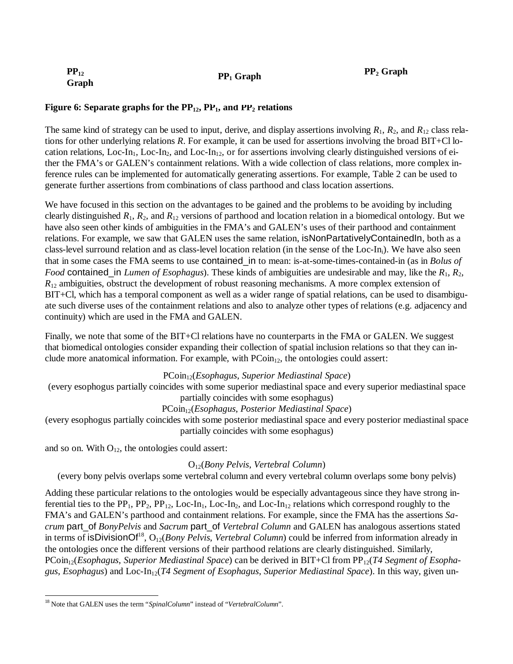**PP<sup>12</sup> Graph**

**PP<sup>1</sup> Graph**

**PP<sup>2</sup> Graph**

### **Figure 6: Separate graphs for the**  $PP_{12}$ **,**  $PP_1$ **, and**  $PP_2$  **relations**

The same kind of strategy can be used to input, derive, and display assertions involving  $R_1$ ,  $R_2$ , and  $R_{12}$  class relations for other underlying relations *R*. For example, it can be used for assertions involving the broad BIT+Cl location relations, Loc-In<sub>1</sub>, Loc-In<sub>2</sub>, and Loc-In<sub>12</sub>, or for assertions involving clearly distinguished versions of either the FMA's or GALEN's containment relations. With a wide collection of class relations, more complex inference rules can be implemented for automatically generating assertions. For example, Table 2 can be used to generate further assertions from combinations of class parthood and class location assertions.

We have focused in this section on the advantages to be gained and the problems to be avoiding by including clearly distinguished *R*1, *R*2, and *R*<sup>12</sup> versions of parthood and location relation in a biomedical ontology. But we have also seen other kinds of ambiguities in the FMA's and GALEN's uses of their parthood and containment relations. For example, we saw that GALEN uses the same relation, isNonPartativelyContainedIn, both as a class-level surround relation and as class-level location relation (in the sense of the Loc-In<sub>i</sub>). We have also seen that in some cases the FMA seems to use contained\_in to mean: is-at-some-times-contained-in (as in *Bolus of Food* contained\_in *Lumen of Esophagus*). These kinds of ambiguities are undesirable and may, like the *R*1, *R*2,  $R_{12}$  ambiguities, obstruct the development of robust reasoning mechanisms. A more complex extension of BIT+Cl, which has a temporal component as well as a wider range of spatial relations, can be used to disambiguate such diverse uses of the containment relations and also to analyze other types of relations (e.g. adjacency and continuity) which are used in the FMA and GALEN.

Finally, we note that some of the BIT+Cl relations have no counterparts in the FMA or GALEN. We suggest that biomedical ontologies consider expanding their collection of spatial inclusion relations so that they can include more anatomical information. For example, with  $PCoin_{12}$ , the ontologies could assert:

#### PCoin12(*Esophagus*, *Superior Mediastinal Space*)

(every esophogus partially coincides with some superior mediastinal space and every superior mediastinal space partially coincides with some esophagus)

# PCoin12(*Esophagus*, *Posterior Mediastinal Space*)

(every esophogus partially coincides with some posterior mediastinal space and every posterior mediastinal space partially coincides with some esophagus)

and so on. With  $O_{12}$ , the ontologies could assert:

### O12(*Bony Pelvis*, *Vertebral Column*)

(every bony pelvis overlaps some vertebral column and every vertebral column overlaps some bony pelvis)

Adding these particular relations to the ontologies would be especially advantageous since they have strong inferential ties to the PP<sub>1</sub>, PP<sub>2</sub>, PP<sub>12</sub>, Loc-In<sub>1</sub>, Loc-In<sub>2</sub>, and Loc-In<sub>12</sub> relations which correspond roughly to the FMA's and GALEN's parthood and containment relations. For example, since the FMA has the assertions *Sacrum* part\_of *BonyPelvis* and *Sacrum* part\_of *Vertebral Column* and GALEN has analogous assertions stated in terms of isDivisionOf<sup>18</sup>, O<sub>12</sub>(*Bony Pelvis, Vertebral Column*) could be inferred from information already in the ontologies once the different versions of their parthood relations are clearly distinguished. Similarly, PCoin<sub>12</sub>(*Esophagus, Superior Mediastinal Space*) can be derived in BIT+Cl from PP<sub>12</sub>(*T4 Segment of Esophagus*, *Esophagus*) and Loc-In12(*T4 Segment of Esophagus*, *Superior Mediastinal Space*). In this way, given un-

 $\overline{a}$ 

<sup>18</sup> Note that GALEN uses the term "*SpinalColumn*" instead of "*VertebralColumn*".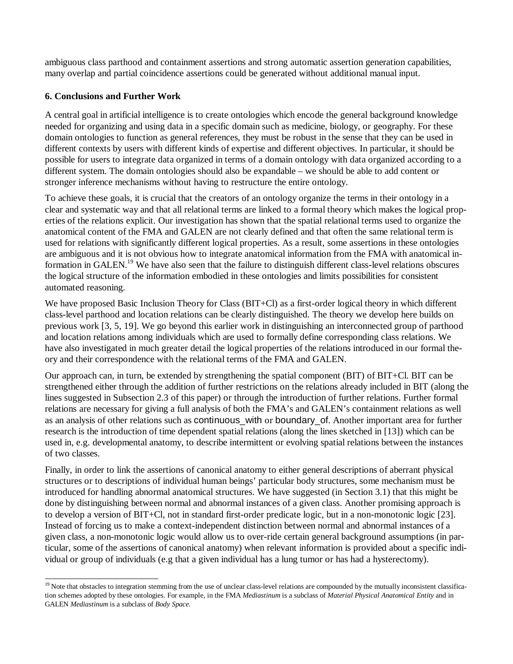ambiguous class parthood and containment assertions and strong automatic assertion generation capabilities, many overlap and partial coincidence assertions could be generated without additional manual input.

### **6. Conclusions and Further Work**

l

A central goal in artificial intelligence is to create ontologies which encode the general background knowledge needed for organizing and using data in a specific domain such as medicine, biology, or geography. For these domain ontologies to function as general references, they must be robust in the sense that they can be used in different contexts by users with different kinds of expertise and different objectives. In particular, it should be possible for users to integrate data organized in terms of a domain ontology with data organized according to a different system. The domain ontologies should also be expandable – we should be able to add content or stronger inference mechanisms without having to restructure the entire ontology.

To achieve these goals, it is crucial that the creators of an ontology organize the terms in their ontology in a clear and systematic way and that all relational terms are linked to a formal theory which makes the logical properties of the relations explicit. Our investigation has shown that the spatial relational terms used to organize the anatomical content of the FMA and GALEN are not clearly defined and that often the same relational term is used for relations with significantly different logical properties. As a result, some assertions in these ontologies are ambiguous and it is not obvious how to integrate anatomical information from the FMA with anatomical information in GALEN.<sup>19</sup> We have also seen that the failure to distinguish different class-level relations obscures the logical structure of the information embodied in these ontologies and limits possibilities for consistent automated reasoning.

We have proposed Basic Inclusion Theory for Class (BIT+Cl) as a first-order logical theory in which different class-level parthood and location relations can be clearly distinguished. The theory we develop here builds on previous work [3, 5, 19]. We go beyond this earlier work in distinguishing an interconnected group of parthood and location relations among individuals which are used to formally define corresponding class relations. We have also investigated in much greater detail the logical properties of the relations introduced in our formal theory and their correspondence with the relational terms of the FMA and GALEN.

Our approach can, in turn, be extended by strengthening the spatial component (BIT) of BIT+Cl. BIT can be strengthened either through the addition of further restrictions on the relations already included in BIT (along the lines suggested in Subsection 2.3 of this paper) or through the introduction of further relations. Further formal relations are necessary for giving a full analysis of both the FMA's and GALEN's containment relations as well as an analysis of other relations such as continuous with or boundary of. Another important area for further research is the introduction of time dependent spatial relations (along the lines sketched in [13]) which can be used in, e.g. developmental anatomy, to describe intermittent or evolving spatial relations between the instances of two classes.

Finally, in order to link the assertions of canonical anatomy to either general descriptions of aberrant physical structures or to descriptions of individual human beings' particular body structures, some mechanism must be introduced for handling abnormal anatomical structures. We have suggested (in Section 3.1) that this might be done by distinguishing between normal and abnormal instances of a given class. Another promising approach is to develop a version of BIT+Cl, not in standard first-order predicate logic, but in a non-monotonic logic [23]. Instead of forcing us to make a context-independent distinction between normal and abnormal instances of a given class, a non-monotonic logic would allow us to over-ride certain general background assumptions (in particular, some of the assertions of canonical anatomy) when relevant information is provided about a specific individual or group of individuals (e.g that a given individual has a lung tumor or has had a hysterectomy).

<sup>&</sup>lt;sup>19</sup> Note that obstacles to integration stemming from the use of unclear class-level relations are compounded by the mutually inconsistent classification schemes adopted by these ontologies. For example, in the FMA *Mediastinum* is a subclass of *Material Physical Anatomical Entity* and in GALEN *Mediastinum* is a subclass of *Body Space*.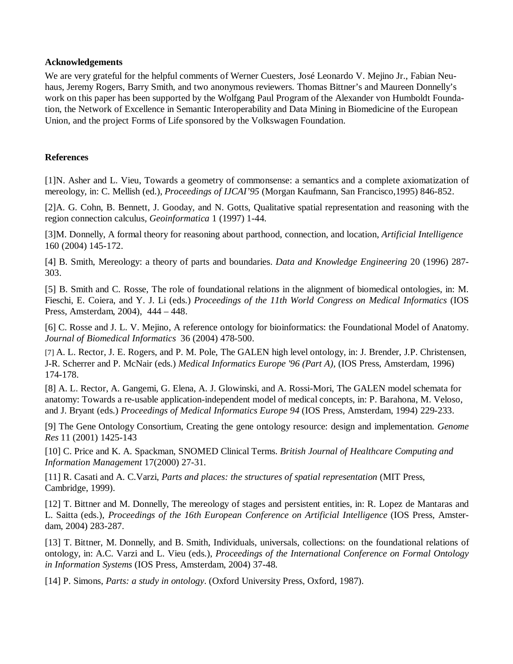#### **Acknowledgements**

We are very grateful for the helpful comments of Werner Cuesters, José Leonardo V. Mejino Jr., Fabian Neuhaus, Jeremy Rogers, Barry Smith, and two anonymous reviewers. Thomas Bittner's and Maureen Donnelly's work on this paper has been supported by the Wolfgang Paul Program of the Alexander von Humboldt Foundation, the Network of Excellence in Semantic Interoperability and Data Mining in Biomedicine of the European Union, and the project Forms of Life sponsored by the Volkswagen Foundation.

#### **References**

[1]N. Asher and L. Vieu, Towards a geometry of commonsense: a semantics and a complete axiomatization of mereology, in: C. Mellish (ed.), *Proceedings of IJCAI'95* (Morgan Kaufmann, San Francisco,1995) 846-852.

[2]A. G. Cohn, B. Bennett, J. Gooday, and N. Gotts, Qualitative spatial representation and reasoning with the region connection calculus, *Geoinformatica* 1 (1997) 1-44.

[3]M. Donnelly, A formal theory for reasoning about parthood, connection, and location, *Artificial Intelligence* 160 (2004) 145-172.

[4] B. Smith, Mereology: a theory of parts and boundaries. *Data and Knowledge Engineering* 20 (1996) 287- 303.

[5] B. Smith and C. Rosse, The role of foundational relations in the alignment of biomedical ontologies, in: M. Fieschi, E. Coiera, and Y. J. Li (eds.) *Proceedings of the 11th World Congress on Medical Informatics* (IOS Press, Amsterdam, 2004), 444 – 448.

[6] C. Rosse and J. L. V. Mejino, A reference ontology for bioinformatics: the Foundational Model of Anatomy. *Journal of Biomedical Informatics* 36 (2004) 478-500.

[7] A. L. Rector, J. E. Rogers, and P. M. Pole, The GALEN high level ontology, in: J. Brender, J.P. Christensen, J-R. Scherrer and P. McNair (eds.) *Medical Informatics Europe '96 (Part A)*, (IOS Press, Amsterdam, 1996) 174-178.

[8] A. L. Rector, A. Gangemi, G. Elena, A. J. Glowinski, and A. Rossi-Mori, The GALEN model schemata for anatomy: Towards a re-usable application-independent model of medical concepts, in: P. Barahona, M. Veloso, and J. Bryant (eds.) *Proceedings of Medical Informatics Europe 94* (IOS Press, Amsterdam, 1994) 229-233.

[9] The Gene Ontology Consortium, Creating the gene ontology resource: design and implementation. *Genome Res* 11 (2001) 1425-143

[10] C. Price and K. A. Spackman, SNOMED Clinical Terms. *British Journal of Healthcare Computing and Information Management* 17(2000) 27-31.

[11] R. Casati and A. C.Varzi, *Parts and places: the structures of spatial representation* (MIT Press, Cambridge, 1999).

[12] T. Bittner and M. Donnelly, The mereology of stages and persistent entities, in: R. Lopez de Mantaras and L. Saitta (eds.), *Proceedings of the 16th European Conference on Artificial Intelligence* (IOS Press, Amsterdam, 2004) 283-287.

[13] T. Bittner, M. Donnelly, and B. Smith, Individuals, universals, collections: on the foundational relations of ontology, in: A.C. Varzi and L. Vieu (eds.), *Proceedings of the International Conference on Formal Ontology in Information Systems* (IOS Press, Amsterdam, 2004) 37-48.

[14] P. Simons, *Parts: a study in ontology*. (Oxford University Press, Oxford, 1987).